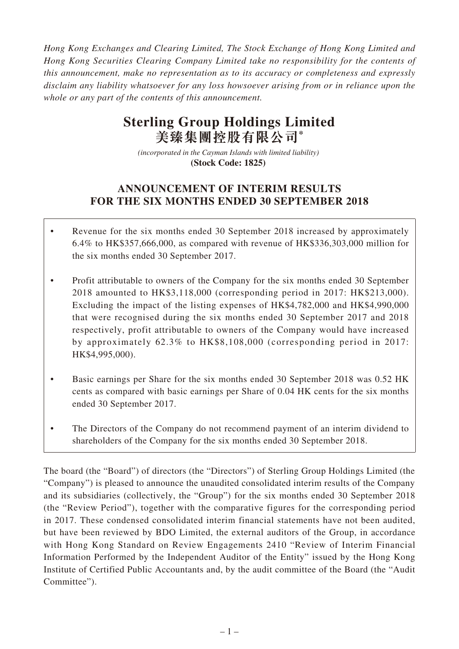*Hong Kong Exchanges and Clearing Limited, The Stock Exchange of Hong Kong Limited and Hong Kong Securities Clearing Company Limited take no responsibility for the contents of this announcement, make no representation as to its accuracy or completeness and expressly disclaim any liability whatsoever for any loss howsoever arising from or in reliance upon the whole or any part of the contents of this announcement.*

# **Sterling Group Holdings Limited 美臻集團控股有限公司\***

*(incorporated in the Cayman Islands with limited liability)*  **(Stock Code: 1825)** 

## **ANNOUNCEMENT OF INTERIM RESULTS FOR THE SIX MONTHS ENDED 30 SEPTEMBER 2018**

- Revenue for the six months ended 30 September 2018 increased by approximately 6.4% to HK\$357,666,000, as compared with revenue of HK\$336,303,000 million for the six months ended 30 September 2017.
- Profit attributable to owners of the Company for the six months ended 30 September 2018 amounted to HK\$3,118,000 (corresponding period in 2017: HK\$213,000). Excluding the impact of the listing expenses of HK\$4,782,000 and HK\$4,990,000 that were recognised during the six months ended 30 September 2017 and 2018 respectively, profit attributable to owners of the Company would have increased by approximately 62.3% to HK\$8,108,000 (corresponding period in 2017: HK\$4,995,000).
- Basic earnings per Share for the six months ended 30 September 2018 was 0.52 HK cents as compared with basic earnings per Share of 0.04 HK cents for the six months ended 30 September 2017.
- The Directors of the Company do not recommend payment of an interim dividend to shareholders of the Company for the six months ended 30 September 2018.

The board (the "Board") of directors (the "Directors") of Sterling Group Holdings Limited (the "Company") is pleased to announce the unaudited consolidated interim results of the Company and its subsidiaries (collectively, the "Group") for the six months ended 30 September 2018 (the "Review Period"), together with the comparative figures for the corresponding period in 2017. These condensed consolidated interim financial statements have not been audited, but have been reviewed by BDO Limited, the external auditors of the Group, in accordance with Hong Kong Standard on Review Engagements 2410 "Review of Interim Financial Information Performed by the Independent Auditor of the Entity" issued by the Hong Kong Institute of Certified Public Accountants and, by the audit committee of the Board (the "Audit Committee").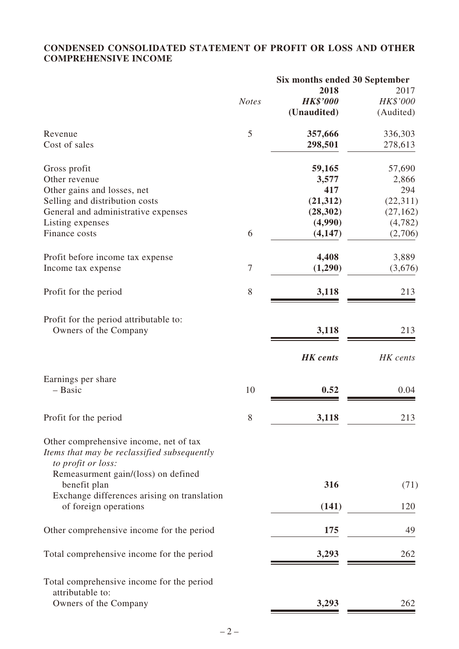## **CONDENSED CONSOLIDATED STATEMENT OF PROFIT OR LOSS AND OTHER COMPREHENSIVE INCOME**

|                                                                                                             |              | Six months ended 30 September |           |
|-------------------------------------------------------------------------------------------------------------|--------------|-------------------------------|-----------|
|                                                                                                             |              | 2018                          | 2017      |
|                                                                                                             | <b>Notes</b> | <b>HK\$'000</b>               | HK\$'000  |
|                                                                                                             |              | (Unaudited)                   | (Audited) |
| Revenue                                                                                                     | 5            | 357,666                       | 336,303   |
| Cost of sales                                                                                               |              | 298,501                       | 278,613   |
| Gross profit                                                                                                |              | 59,165                        | 57,690    |
| Other revenue                                                                                               |              | 3,577                         | 2,866     |
| Other gains and losses, net                                                                                 |              | 417                           | 294       |
| Selling and distribution costs                                                                              |              | (21, 312)                     | (22, 311) |
| General and administrative expenses                                                                         |              | (28, 302)                     | (27, 162) |
| Listing expenses                                                                                            |              | (4,990)                       | (4, 782)  |
| Finance costs                                                                                               | 6            | (4,147)                       | (2,706)   |
| Profit before income tax expense                                                                            |              | 4,408                         | 3,889     |
| Income tax expense                                                                                          | $\tau$       | (1,290)                       | (3,676)   |
| Profit for the period                                                                                       | 8            | 3,118                         | 213       |
| Profit for the period attributable to:                                                                      |              |                               |           |
| Owners of the Company                                                                                       |              | 3,118                         | 213       |
|                                                                                                             |              | <b>HK</b> cents               | HK cents  |
| Earnings per share                                                                                          |              |                               |           |
| - Basic                                                                                                     | 10           | 0.52                          | 0.04      |
| Profit for the period                                                                                       | 8            | 3,118                         | 213       |
| Other comprehensive income, net of tax<br>Items that may be reclassified subsequently<br>to profit or loss: |              |                               |           |
| Remeasurment gain/(loss) on defined<br>benefit plan                                                         |              | 316                           | (71)      |
| Exchange differences arising on translation<br>of foreign operations                                        |              | (141)                         | 120       |
|                                                                                                             |              |                               |           |
| Other comprehensive income for the period                                                                   |              | 175                           | 49        |
| Total comprehensive income for the period                                                                   |              | 3,293                         | 262       |
| Total comprehensive income for the period<br>attributable to:                                               |              |                               |           |
| Owners of the Company                                                                                       |              | 3,293                         | 262       |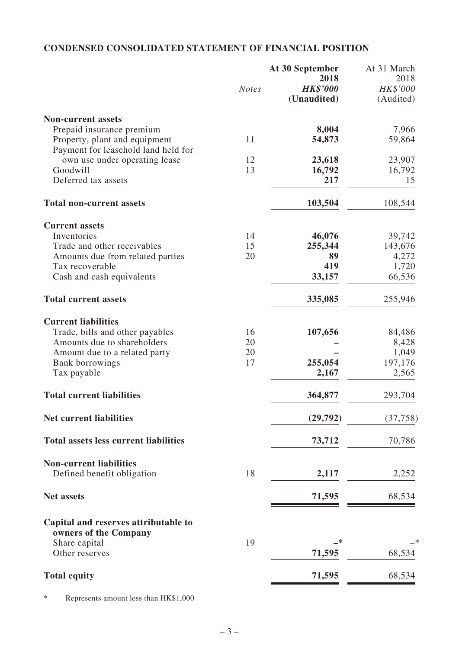## **CONDENSED CONSOLIDATED STATEMENT OF FINANCIAL POSITION**

|                                                               | <b>Notes</b> | At 30 September<br>2018<br><b>HK\$'000</b><br>(Unaudited) | At 31 March<br>2018<br>HK\$'000<br>(Audited) |
|---------------------------------------------------------------|--------------|-----------------------------------------------------------|----------------------------------------------|
| <b>Non-current assets</b>                                     |              |                                                           |                                              |
| Prepaid insurance premium                                     |              | 8,004                                                     | 7,966                                        |
| Property, plant and equipment                                 | 11           | 54,873                                                    | 59,864                                       |
| Payment for leasehold land held for                           |              |                                                           |                                              |
| own use under operating lease                                 | 12           | 23,618                                                    | 23,907                                       |
| Goodwill                                                      | 13           | 16,792                                                    | 16,792                                       |
| Deferred tax assets                                           |              | 217                                                       | 15                                           |
| <b>Total non-current assets</b>                               |              | 103,504                                                   | 108,544                                      |
| <b>Current assets</b>                                         |              |                                                           |                                              |
| Inventories                                                   | 14           | 46,076                                                    | 39,742                                       |
| Trade and other receivables                                   | 15           | 255,344                                                   | 143,676                                      |
| Amounts due from related parties                              | 20           | 89                                                        | 4,272                                        |
| Tax recoverable                                               |              | 419                                                       | 1,720                                        |
| Cash and cash equivalents                                     |              | 33,157                                                    | 66,536                                       |
| <b>Total current assets</b>                                   |              | 335,085                                                   | 255,946                                      |
| <b>Current liabilities</b>                                    |              |                                                           |                                              |
| Trade, bills and other payables                               | 16           | 107,656                                                   | 84,486                                       |
| Amounts due to shareholders                                   | 20           |                                                           | 8,428                                        |
| Amount due to a related party                                 | 20           |                                                           | 1,049                                        |
| <b>Bank borrowings</b>                                        | 17           | 255,054                                                   | 197,176                                      |
| Tax payable                                                   |              | 2,167                                                     | 2,565                                        |
| <b>Total current liabilities</b>                              |              | 364,877                                                   | 293,704                                      |
| <b>Net current liabilities</b>                                |              | (29, 792)                                                 | (37,758)                                     |
| <b>Total assets less current liabilities</b>                  |              | 73,712                                                    | 70,786                                       |
| <b>Non-current liabilities</b>                                |              |                                                           |                                              |
| Defined benefit obligation                                    | 18           | 2,117                                                     | 2,252                                        |
| <b>Net assets</b>                                             |              | 71,595                                                    | 68,534                                       |
| Capital and reserves attributable to<br>owners of the Company |              |                                                           |                                              |
| Share capital<br>Other reserves                               | 19           | —*<br>71,595                                              | 68,534                                       |
| <b>Total equity</b>                                           |              | 71,595                                                    | 68,534                                       |
|                                                               |              |                                                           |                                              |

\* Represents amount less than HK\$1,000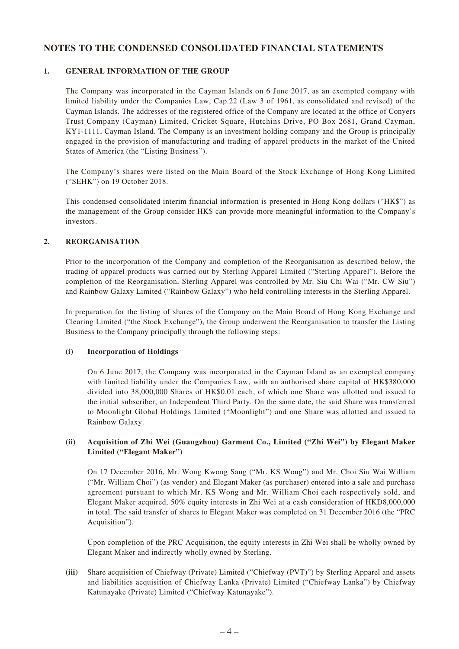## **NOTES TO THE CONDENSED CONSOLIDATED FINANCIAL STATEMENTS**

### **1. GENERAL INFORMATION OF THE GROUP**

The Company was incorporated in the Cayman Islands on 6 June 2017, as an exempted company with limited liability under the Companies Law, Cap.22 (Law 3 of 1961, as consolidated and revised) of the Cayman Islands. The addresses of the registered office of the Company are located at the office of Conyers Trust Company (Cayman) Limited, Cricket Square, Hutchins Drive, PO Box 2681, Grand Cayman, KY1-1111, Cayman Island. The Company is an investment holding company and the Group is principally engaged in the provision of manufacturing and trading of apparel products in the market of the United States of America (the "Listing Business").

The Company's shares were listed on the Main Board of the Stock Exchange of Hong Kong Limited ("SEHK") on 19 October 2018.

This condensed consolidated interim financial information is presented in Hong Kong dollars ("HK\$") as the management of the Group consider HK\$ can provide more meaningful information to the Company's investors.

### **2. REORGANISATION**

Prior to the incorporation of the Company and completion of the Reorganisation as described below, the trading of apparel products was carried out by Sterling Apparel Limited ("Sterling Apparel"). Before the completion of the Reorganisation, Sterling Apparel was controlled by Mr. Siu Chi Wai ("Mr. CW Siu") and Rainbow Galaxy Limited ("Rainbow Galaxy") who held controlling interests in the Sterling Apparel.

In preparation for the listing of shares of the Company on the Main Board of Hong Kong Exchange and Clearing Limited ("the Stock Exchange"), the Group underwent the Reorganisation to transfer the Listing Business to the Company principally through the following steps:

#### **(i) Incorporation of Holdings**

On 6 June 2017, the Company was incorporated in the Cayman Island as an exempted company with limited liability under the Companies Law, with an authorised share capital of HK\$380,000 divided into 38,000,000 Shares of HK\$0.01 each, of which one Share was allotted and issued to the initial subscriber, an Independent Third Party. On the same date, the said Share was transferred to Moonlight Global Holdings Limited ("Moonlight") and one Share was allotted and issued to Rainbow Galaxy.

### **(ii) Acquisition of Zhi Wei (Guangzhou) Garment Co., Limited ("Zhi Wei") by Elegant Maker Limited ("Elegant Maker")**

On 17 December 2016, Mr. Wong Kwong Sang ("Mr. KS Wong") and Mr. Choi Siu Wai William ("Mr. William Choi") (as vendor) and Elegant Maker (as purchaser) entered into a sale and purchase agreement pursuant to which Mr. KS Wong and Mr. William Choi each respectively sold, and Elegant Maker acquired, 50% equity interests in Zhi Wei at a cash consideration of HKD8,000,000 in total. The said transfer of shares to Elegant Maker was completed on 31 December 2016 (the "PRC Acquisition").

Upon completion of the PRC Acquisition, the equity interests in Zhi Wei shall be wholly owned by Elegant Maker and indirectly wholly owned by Sterling.

**(iii)** Share acquisition of Chiefway (Private) Limited ("Chiefway (PVT)") by Sterling Apparel and assets and liabilities acquisition of Chiefway Lanka (Private) Limited ("Chiefway Lanka") by Chiefway Katunayake (Private) Limited ("Chiefway Katunayake").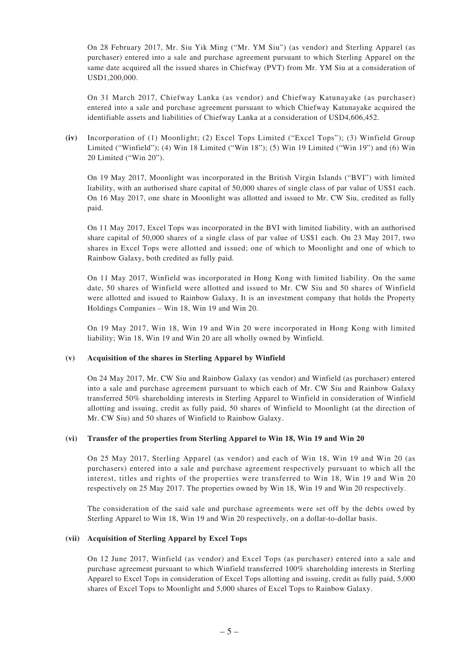On 28 February 2017, Mr. Siu Yik Ming ("Mr. YM Siu") (as vendor) and Sterling Apparel (as purchaser) entered into a sale and purchase agreement pursuant to which Sterling Apparel on the same date acquired all the issued shares in Chiefway (PVT) from Mr. YM Siu at a consideration of USD1,200,000.

On 31 March 2017, Chiefway Lanka (as vendor) and Chiefway Katunayake (as purchaser) entered into a sale and purchase agreement pursuant to which Chiefway Katunayake acquired the identifiable assets and liabilities of Chiefway Lanka at a consideration of USD4,606,452.

**(iv)** Incorporation of (1) Moonlight; (2) Excel Tops Limited ("Excel Tops"); (3) Winfield Group Limited ("Winfield"); (4) Win 18 Limited ("Win 18"); (5) Win 19 Limited ("Win 19") and (6) Win 20 Limited ("Win 20").

On 19 May 2017, Moonlight was incorporated in the British Virgin Islands ("BVI") with limited liability, with an authorised share capital of 50,000 shares of single class of par value of US\$1 each. On 16 May 2017, one share in Moonlight was allotted and issued to Mr. CW Siu, credited as fully paid.

On 11 May 2017, Excel Tops was incorporated in the BVI with limited liability, with an authorised share capital of 50,000 shares of a single class of par value of US\$1 each. On 23 May 2017, two shares in Excel Tops were allotted and issued; one of which to Moonlight and one of which to Rainbow Galaxy, both credited as fully paid.

On 11 May 2017, Winfield was incorporated in Hong Kong with limited liability. On the same date, 50 shares of Winfield were allotted and issued to Mr. CW Siu and 50 shares of Winfield were allotted and issued to Rainbow Galaxy. It is an investment company that holds the Property Holdings Companies – Win 18, Win 19 and Win 20.

On 19 May 2017, Win 18, Win 19 and Win 20 were incorporated in Hong Kong with limited liability; Win 18, Win 19 and Win 20 are all wholly owned by Winfield.

#### **(v) Acquisition of the shares in Sterling Apparel by Winfield**

On 24 May 2017, Mr. CW Siu and Rainbow Galaxy (as vendor) and Winfield (as purchaser) entered into a sale and purchase agreement pursuant to which each of Mr. CW Siu and Rainbow Galaxy transferred 50% shareholding interests in Sterling Apparel to Winfield in consideration of Winfield allotting and issuing, credit as fully paid, 50 shares of Winfield to Moonlight (at the direction of Mr. CW Siu) and 50 shares of Winfield to Rainbow Galaxy.

### **(vi) Transfer of the properties from Sterling Apparel to Win 18, Win 19 and Win 20**

On 25 May 2017, Sterling Apparel (as vendor) and each of Win 18, Win 19 and Win 20 (as purchasers) entered into a sale and purchase agreement respectively pursuant to which all the interest, titles and rights of the properties were transferred to Win 18, Win 19 and Win 20 respectively on 25 May 2017. The properties owned by Win 18, Win 19 and Win 20 respectively.

The consideration of the said sale and purchase agreements were set off by the debts owed by Sterling Apparel to Win 18, Win 19 and Win 20 respectively, on a dollar-to-dollar basis.

#### **(vii) Acquisition of Sterling Apparel by Excel Tops**

On 12 June 2017, Winfield (as vendor) and Excel Tops (as purchaser) entered into a sale and purchase agreement pursuant to which Winfield transferred 100% shareholding interests in Sterling Apparel to Excel Tops in consideration of Excel Tops allotting and issuing, credit as fully paid, 5,000 shares of Excel Tops to Moonlight and 5,000 shares of Excel Tops to Rainbow Galaxy.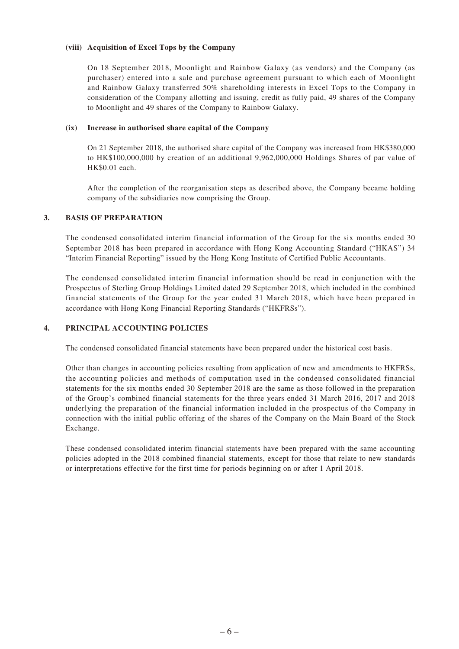### **(viii) Acquisition of Excel Tops by the Company**

On 18 September 2018, Moonlight and Rainbow Galaxy (as vendors) and the Company (as purchaser) entered into a sale and purchase agreement pursuant to which each of Moonlight and Rainbow Galaxy transferred 50% shareholding interests in Excel Tops to the Company in consideration of the Company allotting and issuing, credit as fully paid, 49 shares of the Company to Moonlight and 49 shares of the Company to Rainbow Galaxy.

### **(ix) Increase in authorised share capital of the Company**

On 21 September 2018, the authorised share capital of the Company was increased from HK\$380,000 to HK\$100,000,000 by creation of an additional 9,962,000,000 Holdings Shares of par value of HK\$0.01 each.

After the completion of the reorganisation steps as described above, the Company became holding company of the subsidiaries now comprising the Group.

### **3. BASIS OF PREPARATION**

The condensed consolidated interim financial information of the Group for the six months ended 30 September 2018 has been prepared in accordance with Hong Kong Accounting Standard ("HKAS") 34 "Interim Financial Reporting" issued by the Hong Kong Institute of Certified Public Accountants.

The condensed consolidated interim financial information should be read in conjunction with the Prospectus of Sterling Group Holdings Limited dated 29 September 2018, which included in the combined financial statements of the Group for the year ended 31 March 2018, which have been prepared in accordance with Hong Kong Financial Reporting Standards ("HKFRSs").

### **4. PRINCIPAL ACCOUNTING POLICIES**

The condensed consolidated financial statements have been prepared under the historical cost basis.

Other than changes in accounting policies resulting from application of new and amendments to HKFRSs, the accounting policies and methods of computation used in the condensed consolidated financial statements for the six months ended 30 September 2018 are the same as those followed in the preparation of the Group's combined financial statements for the three years ended 31 March 2016, 2017 and 2018 underlying the preparation of the financial information included in the prospectus of the Company in connection with the initial public offering of the shares of the Company on the Main Board of the Stock Exchange.

These condensed consolidated interim financial statements have been prepared with the same accounting policies adopted in the 2018 combined financial statements, except for those that relate to new standards or interpretations effective for the first time for periods beginning on or after 1 April 2018.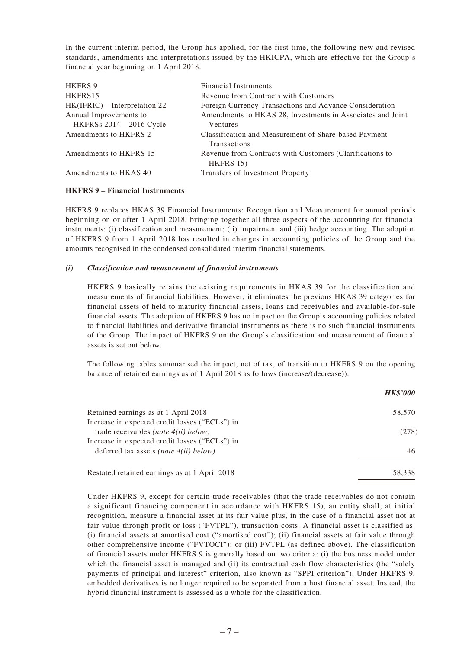In the current interim period, the Group has applied, for the first time, the following new and revised standards, amendments and interpretations issued by the HKICPA, which are effective for the Group's financial year beginning on 1 April 2018.

| <b>HKFRS 9</b>                  | <b>Financial Instruments</b>                               |
|---------------------------------|------------------------------------------------------------|
| HKFRS15                         | Revenue from Contracts with Customers                      |
| $HK(IFRIC) - Interpretation 22$ | Foreign Currency Transactions and Advance Consideration    |
| Annual Improvements to          | Amendments to HKAS 28, Investments in Associates and Joint |
| HKFRSs 2014 - 2016 Cycle        | Ventures                                                   |
| Amendments to HKFRS 2           | Classification and Measurement of Share-based Payment      |
|                                 | <b>Transactions</b>                                        |
| Amendments to HKFRS 15          | Revenue from Contracts with Customers (Clarifications to   |
|                                 | $HKFRS$ 15)                                                |
| Amendments to HKAS 40           | Transfers of Investment Property                           |

#### **HKFRS 9 – Financial Instruments**

HKFRS 9 replaces HKAS 39 Financial Instruments: Recognition and Measurement for annual periods beginning on or after 1 April 2018, bringing together all three aspects of the accounting for financial instruments: (i) classification and measurement; (ii) impairment and (iii) hedge accounting. The adoption of HKFRS 9 from 1 April 2018 has resulted in changes in accounting policies of the Group and the amounts recognised in the condensed consolidated interim financial statements.

#### *(i) Classification and measurement of financial instruments*

HKFRS 9 basically retains the existing requirements in HKAS 39 for the classification and measurements of financial liabilities. However, it eliminates the previous HKAS 39 categories for financial assets of held to maturity financial assets, loans and receivables and available-for-sale financial assets. The adoption of HKFRS 9 has no impact on the Group's accounting policies related to financial liabilities and derivative financial instruments as there is no such financial instruments of the Group. The impact of HKFRS 9 on the Group's classification and measurement of financial assets is set out below.

The following tables summarised the impact, net of tax, of transition to HKFRS 9 on the opening balance of retained earnings as of 1 April 2018 as follows (increase/(decrease)):

|                                                | <b>HK\$'000</b> |
|------------------------------------------------|-----------------|
| Retained earnings as at 1 April 2018           | 58,570          |
| Increase in expected credit losses ("ECLs") in |                 |
| trade receivables <i>(note 4(ii) below)</i>    | (278)           |
| Increase in expected credit losses ("ECLs") in |                 |
| deferred tax assets (note $4(ii)$ below)       | 46              |
| Restated retained earnings as at 1 April 2018  | 58.338          |

Under HKFRS 9, except for certain trade receivables (that the trade receivables do not contain a significant financing component in accordance with HKFRS 15), an entity shall, at initial recognition, measure a financial asset at its fair value plus, in the case of a financial asset not at fair value through profit or loss ("FVTPL"), transaction costs. A financial asset is classified as: (i) financial assets at amortised cost ("amortised cost"); (ii) financial assets at fair value through other comprehensive income ("FVTOCI"); or (iii) FVTPL (as defined above). The classification of financial assets under HKFRS 9 is generally based on two criteria: (i) the business model under which the financial asset is managed and (ii) its contractual cash flow characteristics (the "solely payments of principal and interest" criterion, also known as "SPPI criterion"). Under HKFRS 9, embedded derivatives is no longer required to be separated from a host financial asset. Instead, the hybrid financial instrument is assessed as a whole for the classification.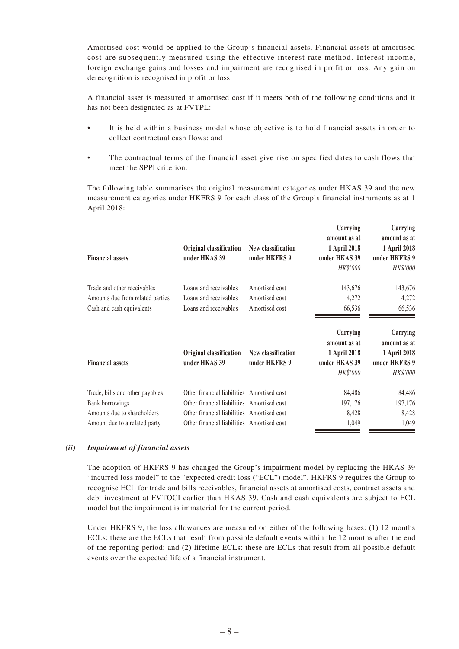Amortised cost would be applied to the Group's financial assets. Financial assets at amortised cost are subsequently measured using the effective interest rate method. Interest income, foreign exchange gains and losses and impairment are recognised in profit or loss. Any gain on derecognition is recognised in profit or loss.

A financial asset is measured at amortised cost if it meets both of the following conditions and it has not been designated as at FVTPL:

- It is held within a business model whose objective is to hold financial assets in order to collect contractual cash flows; and
- The contractual terms of the financial asset give rise on specified dates to cash flows that meet the SPPI criterion.

The following table summarises the original measurement categories under HKAS 39 and the new measurement categories under HKFRS 9 for each class of the Group's financial instruments as at 1 April 2018:

| <b>Financial assets</b>                                                                      | Original classification<br>under HKAS 39                                | New classification<br>under HKFRS 9                | Carrying<br>amount as at<br>1 April 2018<br>under HKAS 39<br>HK\$'000 | Carrying<br>amount as at<br>1 April 2018<br>under HKFRS 9<br>HK\$'000 |
|----------------------------------------------------------------------------------------------|-------------------------------------------------------------------------|----------------------------------------------------|-----------------------------------------------------------------------|-----------------------------------------------------------------------|
| Trade and other receivables<br>Amounts due from related parties<br>Cash and cash equivalents | Loans and receivables<br>Loans and receivables<br>Loans and receivables | Amortised cost<br>Amortised cost<br>Amortised cost | 143,676<br>4,272<br>66,536                                            | 143,676<br>4,272<br>66,536                                            |
|                                                                                              | Original classification                                                 | New classification                                 | Carrying<br>amount as at<br>1 April 2018                              | Carrying<br>amount as at<br>1 April 2018                              |
| <b>Financial assets</b>                                                                      | under HKAS 39                                                           | under HKFRS 9                                      | under HKAS 39<br>HK\$'000                                             | under HKFRS 9<br>HK\$'000                                             |

#### *(ii) Impairment of financial assets*

The adoption of HKFRS 9 has changed the Group's impairment model by replacing the HKAS 39 "incurred loss model" to the "expected credit loss ("ECL") model". HKFRS 9 requires the Group to recognise ECL for trade and bills receivables, financial assets at amortised costs, contract assets and debt investment at FVTOCI earlier than HKAS 39. Cash and cash equivalents are subject to ECL model but the impairment is immaterial for the current period.

Under HKFRS 9, the loss allowances are measured on either of the following bases: (1) 12 months ECLs: these are the ECLs that result from possible default events within the 12 months after the end of the reporting period; and (2) lifetime ECLs: these are ECLs that result from all possible default events over the expected life of a financial instrument.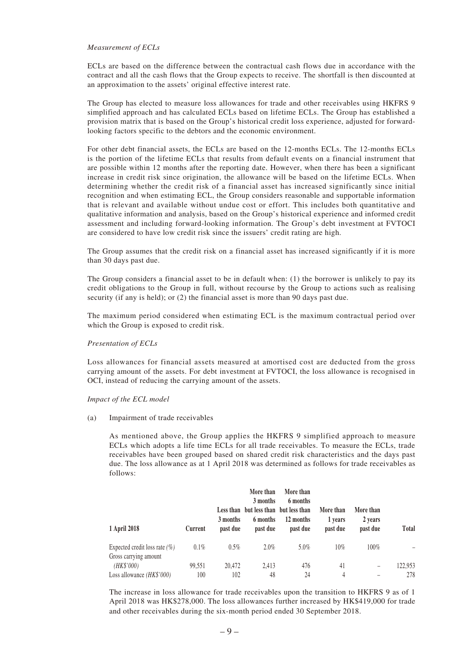#### *Measurement of ECLs*

ECLs are based on the difference between the contractual cash flows due in accordance with the contract and all the cash flows that the Group expects to receive. The shortfall is then discounted at an approximation to the assets' original effective interest rate.

The Group has elected to measure loss allowances for trade and other receivables using HKFRS 9 simplified approach and has calculated ECLs based on lifetime ECLs. The Group has established a provision matrix that is based on the Group's historical credit loss experience, adjusted for forwardlooking factors specific to the debtors and the economic environment.

For other debt financial assets, the ECLs are based on the 12-months ECLs. The 12-months ECLs is the portion of the lifetime ECLs that results from default events on a financial instrument that are possible within 12 months after the reporting date. However, when there has been a significant increase in credit risk since origination, the allowance will be based on the lifetime ECLs. When determining whether the credit risk of a financial asset has increased significantly since initial recognition and when estimating ECL, the Group considers reasonable and supportable information that is relevant and available without undue cost or effort. This includes both quantitative and qualitative information and analysis, based on the Group's historical experience and informed credit assessment and including forward-looking information. The Group's debt investment at FVTOCI are considered to have low credit risk since the issuers' credit rating are high.

The Group assumes that the credit risk on a financial asset has increased significantly if it is more than 30 days past due.

The Group considers a financial asset to be in default when: (1) the borrower is unlikely to pay its credit obligations to the Group in full, without recourse by the Group to actions such as realising security (if any is held); or (2) the financial asset is more than 90 days past due.

The maximum period considered when estimating ECL is the maximum contractual period over which the Group is exposed to credit risk.

#### *Presentation of ECLs*

Loss allowances for financial assets measured at amortised cost are deducted from the gross carrying amount of the assets. For debt investment at FVTOCI, the loss allowance is recognised in OCI, instead of reducing the carrying amount of the assets.

#### *Impact of the ECL model*

(a) Impairment of trade receivables

As mentioned above, the Group applies the HKFRS 9 simplified approach to measure ECLs which adopts a life time ECLs for all trade receivables. To measure the ECLs, trade receivables have been grouped based on shared credit risk characteristics and the days past due. The loss allowance as at 1 April 2018 was determined as follows for trade receivables as follows:

| 1 April 2018                     | Current | 3 months<br>past due | More than<br>3 months<br>Less than but less than but less than<br>6 months<br>past due | More than<br>6 months<br>12 months<br>past due | More than<br>1 years<br>past due | More than<br>2 years<br>past due | Total   |
|----------------------------------|---------|----------------------|----------------------------------------------------------------------------------------|------------------------------------------------|----------------------------------|----------------------------------|---------|
| Expected credit loss rate $(\%)$ | $0.1\%$ | $0.5\%$              | $2.0\%$                                                                                | $5.0\%$                                        | 10%                              | 100%                             |         |
| Gross carrying amount            |         |                      |                                                                                        |                                                |                                  |                                  |         |
| (HK\$'000)                       | 99,551  | 20,472               | 2,413                                                                                  | 476                                            | 41                               | -                                | 122.953 |
| Loss allowance $(HK$'000)$       | 100     | 102                  | 48                                                                                     | 24                                             | 4                                |                                  | 278     |

The increase in loss allowance for trade receivables upon the transition to HKFRS 9 as of 1 April 2018 was HK\$278,000. The loss allowances further increased by HK\$419,000 for trade and other receivables during the six-month period ended 30 September 2018.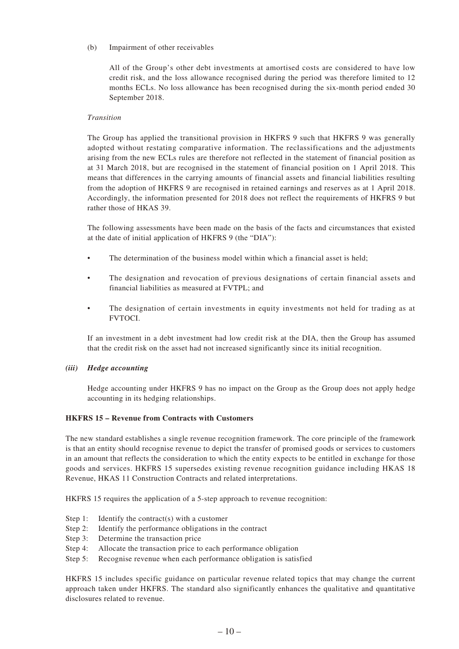### (b) Impairment of other receivables

All of the Group's other debt investments at amortised costs are considered to have low credit risk, and the loss allowance recognised during the period was therefore limited to 12 months ECLs. No loss allowance has been recognised during the six-month period ended 30 September 2018.

### *Transition*

The Group has applied the transitional provision in HKFRS 9 such that HKFRS 9 was generally adopted without restating comparative information. The reclassifications and the adjustments arising from the new ECLs rules are therefore not reflected in the statement of financial position as at 31 March 2018, but are recognised in the statement of financial position on 1 April 2018. This means that differences in the carrying amounts of financial assets and financial liabilities resulting from the adoption of HKFRS 9 are recognised in retained earnings and reserves as at 1 April 2018. Accordingly, the information presented for 2018 does not reflect the requirements of HKFRS 9 but rather those of HKAS 39.

The following assessments have been made on the basis of the facts and circumstances that existed at the date of initial application of HKFRS 9 (the "DIA"):

- The determination of the business model within which a financial asset is held;
- The designation and revocation of previous designations of certain financial assets and financial liabilities as measured at FVTPL; and
- The designation of certain investments in equity investments not held for trading as at FVTOCI.

If an investment in a debt investment had low credit risk at the DIA, then the Group has assumed that the credit risk on the asset had not increased significantly since its initial recognition.

#### *(iii) Hedge accounting*

Hedge accounting under HKFRS 9 has no impact on the Group as the Group does not apply hedge accounting in its hedging relationships.

### **HKFRS 15 – Revenue from Contracts with Customers**

The new standard establishes a single revenue recognition framework. The core principle of the framework is that an entity should recognise revenue to depict the transfer of promised goods or services to customers in an amount that reflects the consideration to which the entity expects to be entitled in exchange for those goods and services. HKFRS 15 supersedes existing revenue recognition guidance including HKAS 18 Revenue, HKAS 11 Construction Contracts and related interpretations.

HKFRS 15 requires the application of a 5-step approach to revenue recognition:

- Step 1: Identify the contract(s) with a customer
- Step 2: Identify the performance obligations in the contract
- Step 3: Determine the transaction price
- Step 4: Allocate the transaction price to each performance obligation
- Step 5: Recognise revenue when each performance obligation is satisfied

HKFRS 15 includes specific guidance on particular revenue related topics that may change the current approach taken under HKFRS. The standard also significantly enhances the qualitative and quantitative disclosures related to revenue.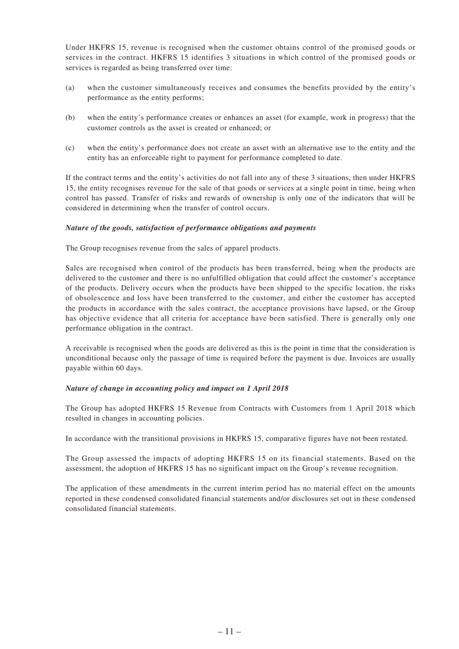Under HKFRS 15, revenue is recognised when the customer obtains control of the promised goods or services in the contract. HKFRS 15 identifies 3 situations in which control of the promised goods or services is regarded as being transferred over time:

- (a) when the customer simultaneously receives and consumes the benefits provided by the entity's performance as the entity performs;
- (b) when the entity's performance creates or enhances an asset (for example, work in progress) that the customer controls as the asset is created or enhanced; or
- (c) when the entity's performance does not create an asset with an alternative use to the entity and the entity has an enforceable right to payment for performance completed to date.

If the contract terms and the entity's activities do not fall into any of these 3 situations, then under HKFRS 15, the entity recognises revenue for the sale of that goods or services at a single point in time, being when control has passed. Transfer of risks and rewards of ownership is only one of the indicators that will be considered in determining when the transfer of control occurs.

### *Nature of the goods, satisfaction of performance obligations and payments*

The Group recognises revenue from the sales of apparel products.

Sales are recognised when control of the products has been transferred, being when the products are delivered to the customer and there is no unfulfilled obligation that could affect the customer's acceptance of the products. Delivery occurs when the products have been shipped to the specific location, the risks of obsolescence and loss have been transferred to the customer, and either the customer has accepted the products in accordance with the sales contract, the acceptance provisions have lapsed, or the Group has objective evidence that all criteria for acceptance have been satisfied. There is generally only one performance obligation in the contract.

A receivable is recognised when the goods are delivered as this is the point in time that the consideration is unconditional because only the passage of time is required before the payment is due. Invoices are usually payable within 60 days.

#### *Nature of change in accounting policy and impact on 1 April 2018*

The Group has adopted HKFRS 15 Revenue from Contracts with Customers from 1 April 2018 which resulted in changes in accounting policies.

In accordance with the transitional provisions in HKFRS 15, comparative figures have not been restated.

The Group assessed the impacts of adopting HKFRS 15 on its financial statements. Based on the assessment, the adoption of HKFRS 15 has no significant impact on the Group's revenue recognition.

The application of these amendments in the current interim period has no material effect on the amounts reported in these condensed consolidated financial statements and/or disclosures set out in these condensed consolidated financial statements.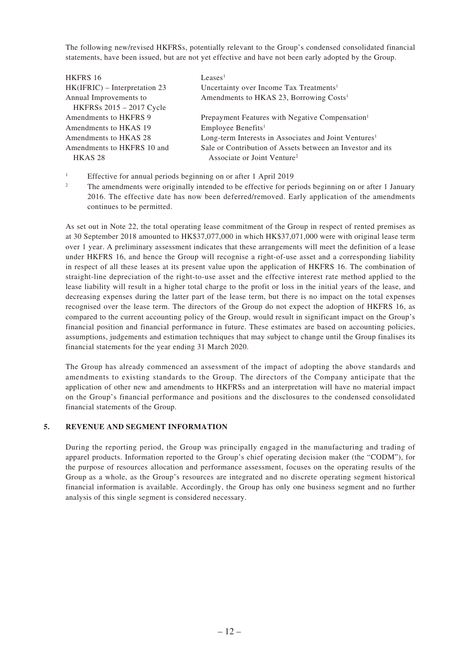The following new/revised HKFRSs, potentially relevant to the Group's condensed consolidated financial statements, have been issued, but are not yet effective and have not been early adopted by the Group.

| <b>HKFRS 16</b>                 | Leases <sup>1</sup>                                               |
|---------------------------------|-------------------------------------------------------------------|
| $HK(IFRIC) - Interpretation 23$ | Uncertainty over Income Tax Treatments <sup>1</sup>               |
| Annual Improvements to          | Amendments to HKAS 23, Borrowing Costs <sup>1</sup>               |
| HKFRSs 2015 - 2017 Cycle        |                                                                   |
| Amendments to HKFRS 9           | Prepayment Features with Negative Compensation <sup>1</sup>       |
| Amendments to HKAS 19           | Employee Benefits <sup>1</sup>                                    |
| Amendments to HKAS 28           | Long-term Interests in Associates and Joint Ventures <sup>1</sup> |
| Amendments to HKFRS 10 and      | Sale or Contribution of Assets between an Investor and its        |
| HKAS <sub>28</sub>              | Associate or Joint Venture <sup>2</sup>                           |
|                                 |                                                                   |

- <sup>1</sup> Effective for annual periods beginning on or after 1 April 2019
- <sup>2</sup> The amendments were originally intended to be effective for periods beginning on or after 1 January 2016. The effective date has now been deferred/removed. Early application of the amendments continues to be permitted.

As set out in Note 22, the total operating lease commitment of the Group in respect of rented premises as at 30 September 2018 amounted to HK\$37,077,000 in which HK\$37,071,000 were with original lease term over 1 year. A preliminary assessment indicates that these arrangements will meet the definition of a lease under HKFRS 16, and hence the Group will recognise a right-of-use asset and a corresponding liability in respect of all these leases at its present value upon the application of HKFRS 16. The combination of straight-line depreciation of the right-to-use asset and the effective interest rate method applied to the lease liability will result in a higher total charge to the profit or loss in the initial years of the lease, and decreasing expenses during the latter part of the lease term, but there is no impact on the total expenses recognised over the lease term. The directors of the Group do not expect the adoption of HKFRS 16, as compared to the current accounting policy of the Group, would result in significant impact on the Group's financial position and financial performance in future. These estimates are based on accounting policies, assumptions, judgements and estimation techniques that may subject to change until the Group finalises its financial statements for the year ending 31 March 2020.

The Group has already commenced an assessment of the impact of adopting the above standards and amendments to existing standards to the Group. The directors of the Company anticipate that the application of other new and amendments to HKFRSs and an interpretation will have no material impact on the Group's financial performance and positions and the disclosures to the condensed consolidated financial statements of the Group.

### **5. REVENUE AND SEGMENT INFORMATION**

During the reporting period, the Group was principally engaged in the manufacturing and trading of apparel products. Information reported to the Group's chief operating decision maker (the "CODM"), for the purpose of resources allocation and performance assessment, focuses on the operating results of the Group as a whole, as the Group's resources are integrated and no discrete operating segment historical financial information is available. Accordingly, the Group has only one business segment and no further analysis of this single segment is considered necessary.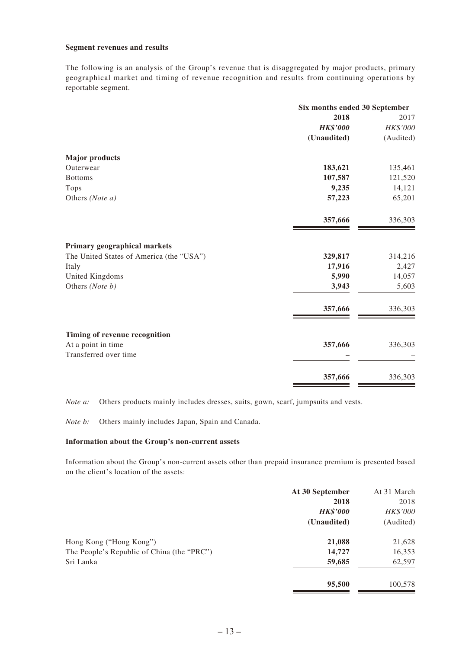#### **Segment revenues and results**

The following is an analysis of the Group's revenue that is disaggregated by major products, primary geographical market and timing of revenue recognition and results from continuing operations by reportable segment.

|                                          | Six months ended 30 September |           |  |
|------------------------------------------|-------------------------------|-----------|--|
|                                          | 2018                          | 2017      |  |
|                                          | <b>HK\$'000</b>               | HK\$'000  |  |
|                                          | (Unaudited)                   | (Audited) |  |
| <b>Major products</b>                    |                               |           |  |
| Outerwear                                | 183,621                       | 135,461   |  |
| <b>Bottoms</b>                           | 107,587                       | 121,520   |  |
| <b>Tops</b>                              | 9,235                         | 14,121    |  |
| Others (Note a)                          | 57,223                        | 65,201    |  |
|                                          | 357,666                       | 336,303   |  |
| Primary geographical markets             |                               |           |  |
| The United States of America (the "USA") | 329,817                       | 314,216   |  |
| Italy                                    | 17,916                        | 2,427     |  |
| United Kingdoms                          | 5,990                         | 14,057    |  |
| Others (Note b)                          | 3,943                         | 5,603     |  |
|                                          | 357,666                       | 336,303   |  |
| Timing of revenue recognition            |                               |           |  |
| At a point in time                       | 357,666                       | 336,303   |  |
| Transferred over time                    |                               |           |  |
|                                          | 357,666                       | 336,303   |  |

*Note a:* Others products mainly includes dresses, suits, gown, scarf, jumpsuits and vests.

*Note b:* Others mainly includes Japan, Spain and Canada.

### **Information about the Group's non-current assets**

Information about the Group's non-current assets other than prepaid insurance premium is presented based on the client's location of the assets:

|                                            | At 30 September | At 31 March |
|--------------------------------------------|-----------------|-------------|
|                                            | 2018            | 2018        |
|                                            | <b>HK\$'000</b> | HK\$'000    |
|                                            | (Unaudited)     | (Audited)   |
| Hong Kong ("Hong Kong")                    | 21,088          | 21,628      |
| The People's Republic of China (the "PRC") | 14,727          | 16,353      |
| Sri Lanka                                  | 59,685          | 62,597      |
|                                            | 95,500          | 100,578     |
|                                            |                 |             |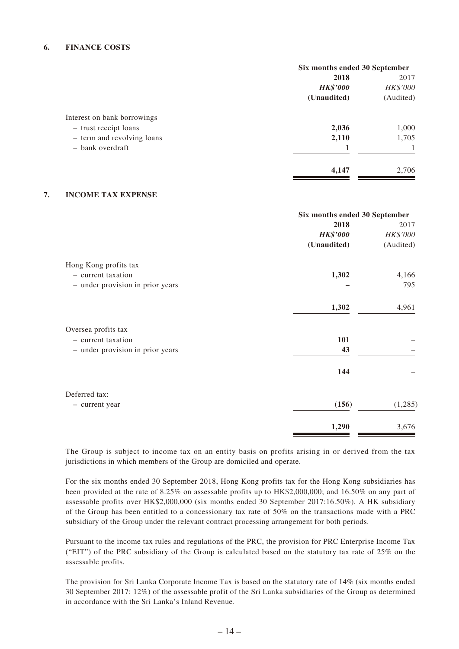### **6. FINANCE COSTS**

|                             | Six months ended 30 September |           |  |
|-----------------------------|-------------------------------|-----------|--|
|                             | 2018                          | 2017      |  |
|                             | <b>HK\$'000</b>               | HK\$'000  |  |
|                             | (Unaudited)                   | (Audited) |  |
| Interest on bank borrowings |                               |           |  |
| - trust receipt loans       | 2,036                         | 1,000     |  |
| - term and revolving loans  | 2,110                         | 1,705     |  |
| - bank overdraft            |                               |           |  |
|                             | 4,147                         | 2,706     |  |

### **7. INCOME TAX EXPENSE**

|                                  | Six months ended 30 September |           |  |
|----------------------------------|-------------------------------|-----------|--|
|                                  | 2018                          | 2017      |  |
|                                  | <b>HK\$'000</b>               | HK\$'000  |  |
|                                  | (Unaudited)                   | (Audited) |  |
| Hong Kong profits tax            |                               |           |  |
| - current taxation               | 1,302                         | 4,166     |  |
| - under provision in prior years |                               | 795       |  |
|                                  | 1,302                         | 4,961     |  |
| Oversea profits tax              |                               |           |  |
| - current taxation               | 101                           |           |  |
| - under provision in prior years | 43                            |           |  |
|                                  | 144                           |           |  |
| Deferred tax:                    |                               |           |  |
| - current year                   | (156)                         | (1,285)   |  |
|                                  | 1,290                         | 3,676     |  |

The Group is subject to income tax on an entity basis on profits arising in or derived from the tax jurisdictions in which members of the Group are domiciled and operate.

For the six months ended 30 September 2018, Hong Kong profits tax for the Hong Kong subsidiaries has been provided at the rate of 8.25% on assessable profits up to HK\$2,000,000; and 16.50% on any part of assessable profits over HK\$2,000,000 (six months ended 30 September 2017:16.50%). A HK subsidiary of the Group has been entitled to a concessionary tax rate of 50% on the transactions made with a PRC subsidiary of the Group under the relevant contract processing arrangement for both periods.

Pursuant to the income tax rules and regulations of the PRC, the provision for PRC Enterprise Income Tax ("EIT") of the PRC subsidiary of the Group is calculated based on the statutory tax rate of 25% on the assessable profits.

The provision for Sri Lanka Corporate Income Tax is based on the statutory rate of 14% (six months ended 30 September 2017: 12%) of the assessable profit of the Sri Lanka subsidiaries of the Group as determined in accordance with the Sri Lanka's Inland Revenue.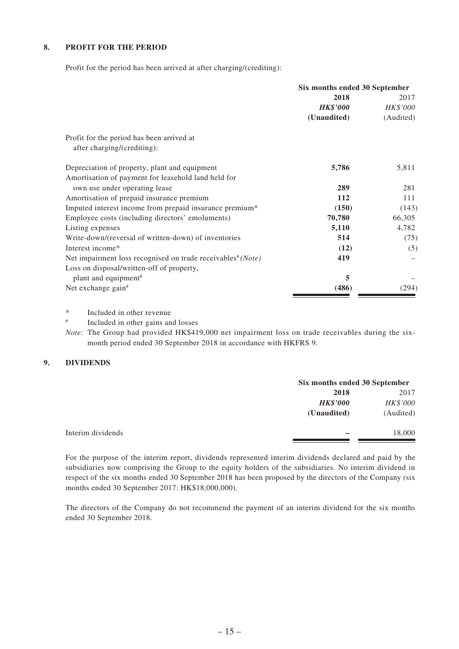### **8. PROFIT FOR THE PERIOD**

Profit for the period has been arrived at after charging/(crediting):

|                                                                         | Six months ended 30 September |           |  |
|-------------------------------------------------------------------------|-------------------------------|-----------|--|
|                                                                         | 2018                          | 2017      |  |
|                                                                         | <b>HK\$'000</b>               | HK\$'000  |  |
|                                                                         | (Unaudited)                   | (Audited) |  |
| Profit for the period has been arrived at                               |                               |           |  |
| after charging/(crediting):                                             |                               |           |  |
| Depreciation of property, plant and equipment                           | 5,786                         | 5,811     |  |
| Amortisation of payment for leasehold land held for                     |                               |           |  |
| own use under operating lease                                           | 289                           | 281       |  |
| Amortisation of prepaid insurance premium                               | 112                           | 111       |  |
| Imputed interest income from prepaid insurance premium*                 | (150)                         | (143)     |  |
| Employee costs (including directors' emoluments)                        | 70,780                        | 66,305    |  |
| Listing expenses                                                        | 5,110                         | 4,782     |  |
| Write-down/(reversal of written-down) of inventories                    | 514                           | (75)      |  |
| Interest income*                                                        | (12)                          | (5)       |  |
| Net impairment loss recognised on trade receivables <sup>#</sup> (Note) | 419                           |           |  |
| Loss on disposal/written-off of property,                               |                               |           |  |
| plant and equipment <sup>#</sup>                                        | 5                             |           |  |
| Net exchange gain <sup>#</sup>                                          | (486)                         | (294)     |  |

\* Included in other revenue

# Included in other gains and losses

*Note:* The Group had provided HK\$419,000 net impairment loss on trade receivables during the sixmonth period ended 30 September 2018 in accordance with HKFRS 9.

### **9. DIVIDENDS**

| Six months ended 30 September |           |
|-------------------------------|-----------|
| 2018                          | 2017      |
| <b>HK\$'000</b>               | HK\$'000  |
| (Unaudited)                   | (Audited) |
|                               | 18,000    |
|                               |           |

For the purpose of the interim report, dividends represented interim dividends declared and paid by the subsidiaries now comprising the Group to the equity holders of the subsidiaries. No interim dividend in respect of the six months ended 30 September 2018 has been proposed by the directors of the Company (six months ended 30 September 2017: HK\$18,000,000).

The directors of the Company do not recommend the payment of an interim dividend for the six months ended 30 September 2018.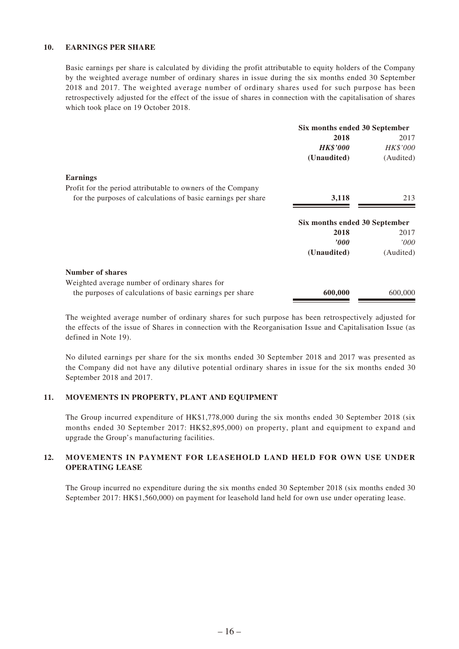### **10. EARNINGS PER SHARE**

Basic earnings per share is calculated by dividing the profit attributable to equity holders of the Company by the weighted average number of ordinary shares in issue during the six months ended 30 September 2018 and 2017. The weighted average number of ordinary shares used for such purpose has been retrospectively adjusted for the effect of the issue of shares in connection with the capitalisation of shares which took place on 19 October 2018.

|                                                              | Six months ended 30 September |           |
|--------------------------------------------------------------|-------------------------------|-----------|
|                                                              | 2018                          | 2017      |
|                                                              | <b>HK\$'000</b>               | HK\$'000  |
|                                                              | (Unaudited)                   | (Audited) |
| <b>Earnings</b>                                              |                               |           |
| Profit for the period attributable to owners of the Company  |                               |           |
| for the purposes of calculations of basic earnings per share | 3,118                         | 213       |
|                                                              | Six months ended 30 September |           |
|                                                              | 2018                          | 2017      |
|                                                              | <i><b>000</b></i>             | 000'      |
|                                                              | (Unaudited)                   | (Audited) |
| <b>Number of shares</b>                                      |                               |           |
| Weighted average number of ordinary shares for               |                               |           |
| the purposes of calculations of basic earnings per share     | 600,000                       | 600,000   |

The weighted average number of ordinary shares for such purpose has been retrospectively adjusted for the effects of the issue of Shares in connection with the Reorganisation Issue and Capitalisation Issue (as defined in Note 19).

No diluted earnings per share for the six months ended 30 September 2018 and 2017 was presented as the Company did not have any dilutive potential ordinary shares in issue for the six months ended 30 September 2018 and 2017.

#### **11. MOVEMENTS IN PROPERTY, PLANT AND EQUIPMENT**

The Group incurred expenditure of HK\$1,778,000 during the six months ended 30 September 2018 (six months ended 30 September 2017: HK\$2,895,000) on property, plant and equipment to expand and upgrade the Group's manufacturing facilities.

## **12. MOVEMENTS IN PAYMENT FOR LEASEHOLD LAND HELD FOR OWN USE UNDER OPERATING LEASE**

The Group incurred no expenditure during the six months ended 30 September 2018 (six months ended 30 September 2017: HK\$1,560,000) on payment for leasehold land held for own use under operating lease.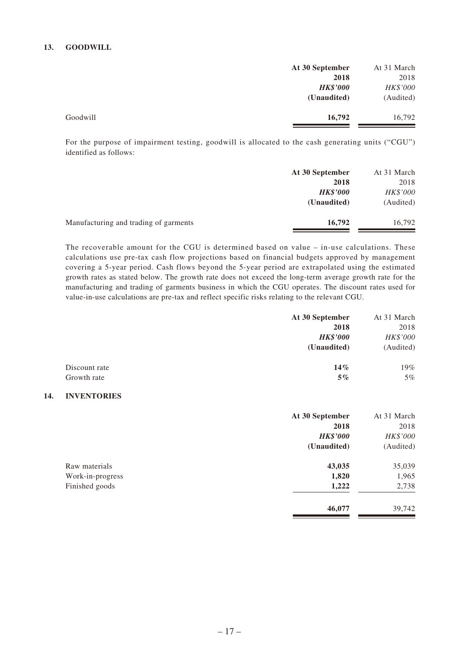### **13. GOODWILL**

| 2018      |
|-----------|
|           |
| HK\$'000  |
| (Audited) |
| 16,792    |
|           |

For the purpose of impairment testing, goodwill is allocated to the cash generating units ("CGU") identified as follows:

|                                       | At 30 September | At 31 March |
|---------------------------------------|-----------------|-------------|
|                                       | 2018            | 2018        |
|                                       | <b>HK\$'000</b> | HK\$'000    |
|                                       | (Unaudited)     | (Audited)   |
| Manufacturing and trading of garments | 16,792          | 16,792      |
|                                       |                 |             |

The recoverable amount for the CGU is determined based on value – in-use calculations. These calculations use pre-tax cash flow projections based on financial budgets approved by management covering a 5-year period. Cash flows beyond the 5-year period are extrapolated using the estimated growth rates as stated below. The growth rate does not exceed the long-term average growth rate for the manufacturing and trading of garments business in which the CGU operates. The discount rates used for value-in-use calculations are pre-tax and reflect specific risks relating to the relevant CGU.

|               | At 30 September<br>2018<br><b>HK\$'000</b> | At 31 March<br>2018<br>HK\$'000 |
|---------------|--------------------------------------------|---------------------------------|
|               | (Unaudited)                                | (Audited)                       |
| Discount rate | $14\%$                                     | 19%                             |
| Growth rate   | $5\%$                                      | $5\%$                           |

#### **14. INVENTORIES**

|                  | At 30 September | At 31 March |
|------------------|-----------------|-------------|
|                  | 2018            | 2018        |
|                  | <b>HK\$'000</b> | HK\$'000    |
|                  | (Unaudited)     | (Audited)   |
| Raw materials    | 43,035          | 35,039      |
| Work-in-progress | 1,820           | 1,965       |
| Finished goods   | 1,222           | 2,738       |
|                  | 46,077          | 39,742      |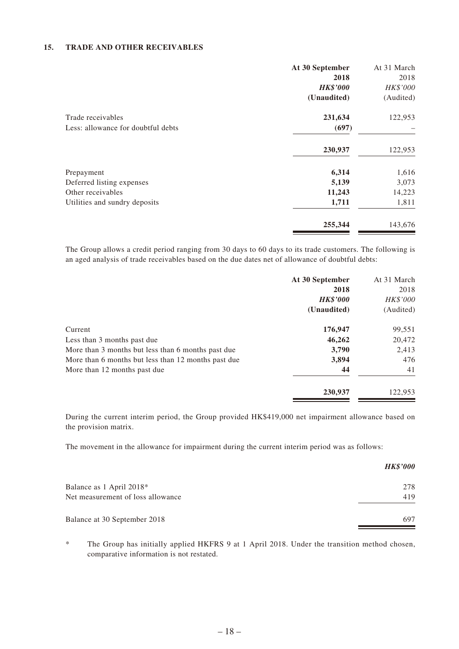### **15. TRADE AND OTHER RECEIVABLES**

|                                    | At 30 September | At 31 March |
|------------------------------------|-----------------|-------------|
|                                    | 2018            | 2018        |
|                                    | <b>HK\$'000</b> | HK\$'000    |
|                                    | (Unaudited)     | (Audited)   |
| Trade receivables                  | 231,634         | 122,953     |
| Less: allowance for doubtful debts | (697)           |             |
|                                    | 230,937         | 122,953     |
| Prepayment                         | 6,314           | 1,616       |
| Deferred listing expenses          | 5,139           | 3,073       |
| Other receivables                  | 11,243          | 14,223      |
| Utilities and sundry deposits      | 1,711           | 1,811       |
|                                    | 255,344         | 143,676     |

The Group allows a credit period ranging from 30 days to 60 days to its trade customers. The following is an aged analysis of trade receivables based on the due dates net of allowance of doubtful debts:

|                                                     | At 30 September | At 31 March |
|-----------------------------------------------------|-----------------|-------------|
|                                                     | 2018            | 2018        |
|                                                     | <b>HK\$'000</b> | HK\$'000    |
|                                                     | (Unaudited)     | (Audited)   |
| Current                                             | 176,947         | 99,551      |
| Less than 3 months past due                         | 46,262          | 20,472      |
| More than 3 months but less than 6 months past due  | 3,790           | 2,413       |
| More than 6 months but less than 12 months past due | 3,894           | 476         |
| More than 12 months past due                        | 44              | 41          |
|                                                     | 230,937         | 122,953     |

During the current interim period, the Group provided HK\$419,000 net impairment allowance based on the provision matrix.

The movement in the allowance for impairment during the current interim period was as follows:

|                                   | <b>HK\$'000</b> |
|-----------------------------------|-----------------|
| Balance as 1 April 2018*          | 278             |
| Net measurement of loss allowance | 419             |
| Balance at 30 September 2018      | 697             |

\* The Group has initially applied HKFRS 9 at 1 April 2018. Under the transition method chosen, comparative information is not restated.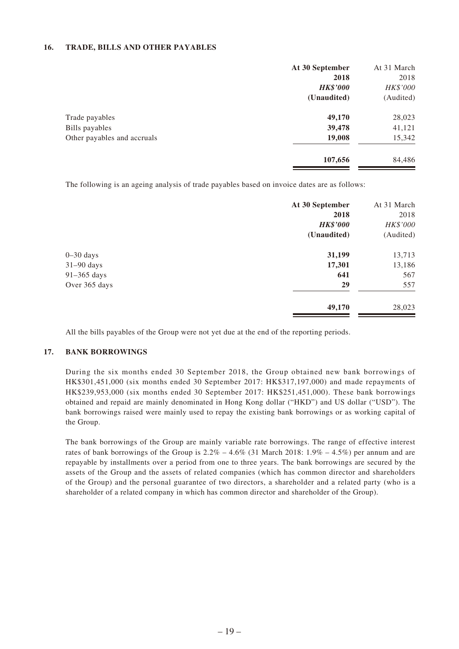### **16. TRADE, BILLS AND OTHER PAYABLES**

|                             | At 30 September | At 31 March |
|-----------------------------|-----------------|-------------|
|                             | 2018            | 2018        |
|                             | <b>HK\$'000</b> | HK\$'000    |
|                             | (Unaudited)     | (Audited)   |
| Trade payables              | 49,170          | 28,023      |
| Bills payables              | 39,478          | 41,121      |
| Other payables and accruals | 19,008          | 15,342      |
|                             | 107,656         | 84,486      |

The following is an ageing analysis of trade payables based on invoice dates are as follows:

|               | At 30 September | At 31 March |
|---------------|-----------------|-------------|
|               | 2018            | 2018        |
|               | <b>HK\$'000</b> | HK\$'000    |
|               | (Unaudited)     | (Audited)   |
| $0 - 30$ days | 31,199          | 13,713      |
| $31-90$ days  | 17,301          | 13,186      |
| 91-365 days   | 641             | 567         |
| Over 365 days | 29              | 557         |
|               | 49,170          | 28,023      |

All the bills payables of the Group were not yet due at the end of the reporting periods.

#### **17. BANK BORROWINGS**

During the six months ended 30 September 2018, the Group obtained new bank borrowings of HK\$301,451,000 (six months ended 30 September 2017: HK\$317,197,000) and made repayments of HK\$239,953,000 (six months ended 30 September 2017: HK\$251,451,000). These bank borrowings obtained and repaid are mainly denominated in Hong Kong dollar ("HKD") and US dollar ("USD"). The bank borrowings raised were mainly used to repay the existing bank borrowings or as working capital of the Group.

The bank borrowings of the Group are mainly variable rate borrowings. The range of effective interest rates of bank borrowings of the Group is  $2.2\% - 4.6\%$  (31 March 2018: 1.9% – 4.5%) per annum and are repayable by installments over a period from one to three years. The bank borrowings are secured by the assets of the Group and the assets of related companies (which has common director and shareholders of the Group) and the personal guarantee of two directors, a shareholder and a related party (who is a shareholder of a related company in which has common director and shareholder of the Group).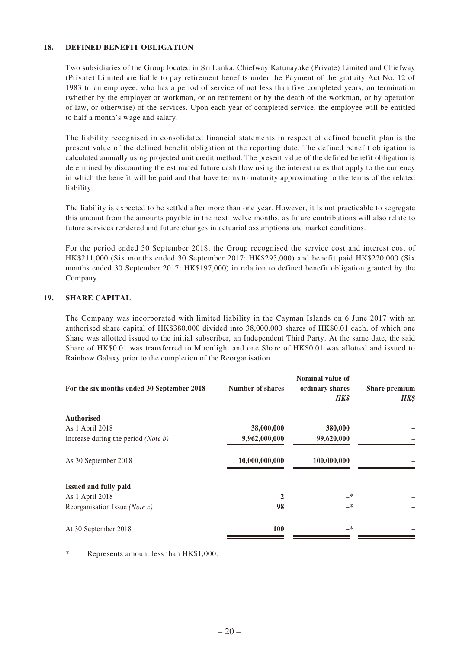### **18. DEFINED BENEFIT OBLIGATION**

Two subsidiaries of the Group located in Sri Lanka, Chiefway Katunayake (Private) Limited and Chiefway (Private) Limited are liable to pay retirement benefits under the Payment of the gratuity Act No. 12 of 1983 to an employee, who has a period of service of not less than five completed years, on termination (whether by the employer or workman, or on retirement or by the death of the workman, or by operation of law, or otherwise) of the services. Upon each year of completed service, the employee will be entitled to half a month's wage and salary.

The liability recognised in consolidated financial statements in respect of defined benefit plan is the present value of the defined benefit obligation at the reporting date. The defined benefit obligation is calculated annually using projected unit credit method. The present value of the defined benefit obligation is determined by discounting the estimated future cash flow using the interest rates that apply to the currency in which the benefit will be paid and that have terms to maturity approximating to the terms of the related liability.

The liability is expected to be settled after more than one year. However, it is not practicable to segregate this amount from the amounts payable in the next twelve months, as future contributions will also relate to future services rendered and future changes in actuarial assumptions and market conditions.

For the period ended 30 September 2018, the Group recognised the service cost and interest cost of HK\$211,000 (Six months ended 30 September 2017: HK\$295,000) and benefit paid HK\$220,000 (Six months ended 30 September 2017: HK\$197,000) in relation to defined benefit obligation granted by the Company.

### **19. SHARE CAPITAL**

The Company was incorporated with limited liability in the Cayman Islands on 6 June 2017 with an authorised share capital of HK\$380,000 divided into 38,000,000 shares of HK\$0.01 each, of which one Share was allotted issued to the initial subscriber, an Independent Third Party. At the same date, the said Share of HK\$0.01 was transferred to Moonlight and one Share of HK\$0.01 was allotted and issued to Rainbow Galaxy prior to the completion of the Reorganisation.

| For the six months ended 30 September 2018 | <b>Number of shares</b> | Nominal value of<br>ordinary shares<br><b>HK\$</b> | Share premium<br><b>HK\$</b> |
|--------------------------------------------|-------------------------|----------------------------------------------------|------------------------------|
| <b>Authorised</b>                          |                         |                                                    |                              |
| As 1 April 2018                            | 38,000,000              | 380,000                                            |                              |
| Increase during the period (Note b)        | 9,962,000,000           | 99,620,000                                         |                              |
| As 30 September 2018                       | 10,000,000,000          | 100,000,000                                        |                              |
| Issued and fully paid                      |                         |                                                    |                              |
| As 1 April 2018                            | 2                       | —*                                                 |                              |
| Reorganisation Issue (Note c)              | 98                      | —*                                                 |                              |
| At 30 September 2018                       | <b>100</b>              | _*                                                 |                              |

\* Represents amount less than HK\$1,000.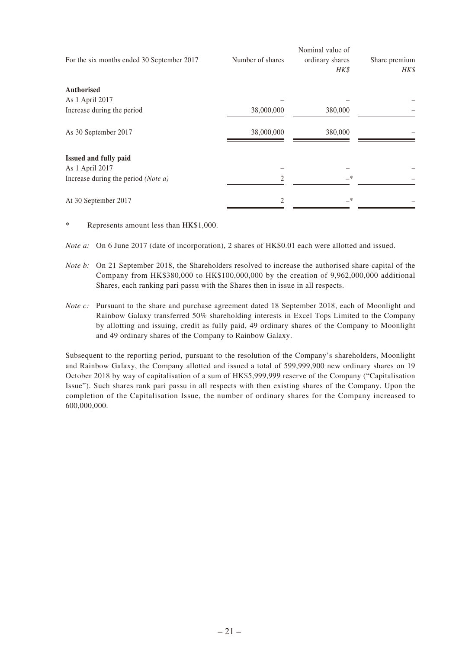| For the six months ended 30 September 2017   | Number of shares | Nominal value of<br>ordinary shares<br>HK\$ | Share premium<br>HK\$ |
|----------------------------------------------|------------------|---------------------------------------------|-----------------------|
| <b>Authorised</b>                            |                  |                                             |                       |
| As 1 April 2017                              |                  |                                             |                       |
| Increase during the period                   | 38,000,000       | 380,000                                     |                       |
| As 30 September 2017                         | 38,000,000       | 380,000                                     |                       |
| Issued and fully paid                        |                  |                                             |                       |
| As 1 April 2017                              |                  |                                             |                       |
| Increase during the period ( <i>Note a</i> ) | 2                | $-$ *                                       |                       |
| At 30 September 2017                         | 2                | _*                                          |                       |

\* Represents amount less than HK\$1,000.

*Note a:* On 6 June 2017 (date of incorporation), 2 shares of HK\$0.01 each were allotted and issued.

*Note b:* On 21 September 2018, the Shareholders resolved to increase the authorised share capital of the Company from HK\$380,000 to HK\$100,000,000 by the creation of 9,962,000,000 additional Shares, each ranking pari passu with the Shares then in issue in all respects.

*Note c:* Pursuant to the share and purchase agreement dated 18 September 2018, each of Moonlight and Rainbow Galaxy transferred 50% shareholding interests in Excel Tops Limited to the Company by allotting and issuing, credit as fully paid, 49 ordinary shares of the Company to Moonlight and 49 ordinary shares of the Company to Rainbow Galaxy.

Subsequent to the reporting period, pursuant to the resolution of the Company's shareholders, Moonlight and Rainbow Galaxy, the Company allotted and issued a total of 599,999,900 new ordinary shares on 19 October 2018 by way of capitalisation of a sum of HK\$5,999,999 reserve of the Company ("Capitalisation Issue"). Such shares rank pari passu in all respects with then existing shares of the Company. Upon the completion of the Capitalisation Issue, the number of ordinary shares for the Company increased to 600,000,000.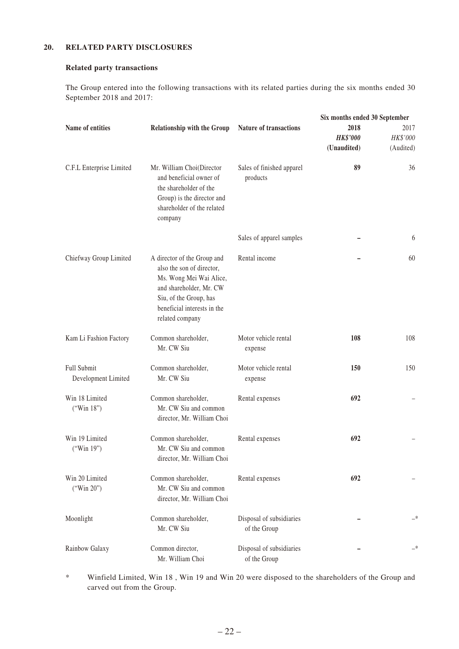## **20. RELATED PARTY DISCLOSURES**

### **Related party transactions**

The Group entered into the following transactions with its related parties during the six months ended 30 September 2018 and 2017:

|                                    |                                                                                                                                                                                            |                                          | Six months ended 30 September          |                               |
|------------------------------------|--------------------------------------------------------------------------------------------------------------------------------------------------------------------------------------------|------------------------------------------|----------------------------------------|-------------------------------|
| Name of entities                   | <b>Relationship with the Group</b>                                                                                                                                                         | <b>Nature of transactions</b>            | 2018<br><b>HK\$'000</b><br>(Unaudited) | 2017<br>HK\$'000<br>(Audited) |
| C.F.L Enterprise Limited           | Mr. William Choi(Director<br>and beneficial owner of<br>the shareholder of the<br>Group) is the director and<br>shareholder of the related<br>company                                      | Sales of finished apparel<br>products    | 89                                     | 36                            |
|                                    |                                                                                                                                                                                            | Sales of apparel samples                 |                                        | 6                             |
| Chiefway Group Limited             | A director of the Group and<br>also the son of director,<br>Ms. Wong Mei Wai Alice,<br>and shareholder, Mr. CW<br>Siu, of the Group, has<br>beneficial interests in the<br>related company | Rental income                            |                                        | 60                            |
| Kam Li Fashion Factory             | Common shareholder,<br>Mr. CW Siu                                                                                                                                                          | Motor vehicle rental<br>expense          | 108                                    | 108                           |
| Full Submit<br>Development Limited | Common shareholder,<br>Mr. CW Siu                                                                                                                                                          | Motor vehicle rental<br>expense          | 150                                    | 150                           |
| Win 18 Limited<br>("Win 18")       | Common shareholder,<br>Mr. CW Siu and common<br>director, Mr. William Choi                                                                                                                 | Rental expenses                          | 692                                    |                               |
| Win 19 Limited<br>("Win 19")       | Common shareholder,<br>Mr. CW Siu and common<br>director, Mr. William Choi                                                                                                                 | Rental expenses                          | 692                                    |                               |
| Win 20 Limited<br>("Win 20")       | Common shareholder,<br>Mr. CW Siu and common<br>director, Mr. William Choi                                                                                                                 | Rental expenses                          | 692                                    |                               |
| Moonlight                          | Common shareholder,<br>Mr. CW Siu                                                                                                                                                          | Disposal of subsidiaries<br>of the Group |                                        |                               |
| Rainbow Galaxy                     | Common director,<br>Mr. William Choi                                                                                                                                                       | Disposal of subsidiaries<br>of the Group |                                        |                               |

\* Winfield Limited, Win 18 , Win 19 and Win 20 were disposed to the shareholders of the Group and carved out from the Group.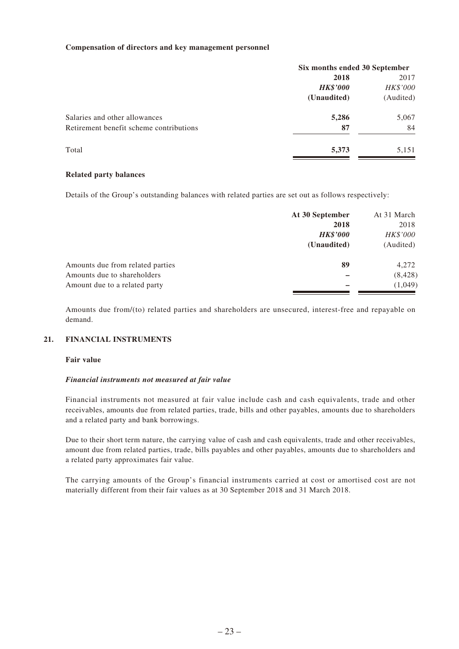#### **Compensation of directors and key management personnel**

|                                         | Six months ended 30 September |           |
|-----------------------------------------|-------------------------------|-----------|
|                                         | 2018                          | 2017      |
|                                         | <b>HK\$'000</b>               | HK\$'000  |
|                                         | (Unaudited)                   | (Audited) |
| Salaries and other allowances           | 5,286                         | 5,067     |
| Retirement benefit scheme contributions | 87                            | 84        |
| Total                                   | 5,373                         | 5,151     |
|                                         |                               |           |

#### **Related party balances**

Details of the Group's outstanding balances with related parties are set out as follows respectively:

| At 30 September | At 31 March |
|-----------------|-------------|
| 2018            | 2018        |
| <b>HK\$'000</b> | HK\$'000    |
| (Unaudited)     | (Audited)   |
| 89              | 4,272       |
|                 | (8, 428)    |
|                 | (1,049)     |
|                 |             |

Amounts due from/(to) related parties and shareholders are unsecured, interest-free and repayable on demand.

### **21. FINANCIAL INSTRUMENTS**

### **Fair value**

#### *Financial instruments not measured at fair value*

Financial instruments not measured at fair value include cash and cash equivalents, trade and other receivables, amounts due from related parties, trade, bills and other payables, amounts due to shareholders and a related party and bank borrowings.

Due to their short term nature, the carrying value of cash and cash equivalents, trade and other receivables, amount due from related parties, trade, bills payables and other payables, amounts due to shareholders and a related party approximates fair value.

The carrying amounts of the Group's financial instruments carried at cost or amortised cost are not materially different from their fair values as at 30 September 2018 and 31 March 2018.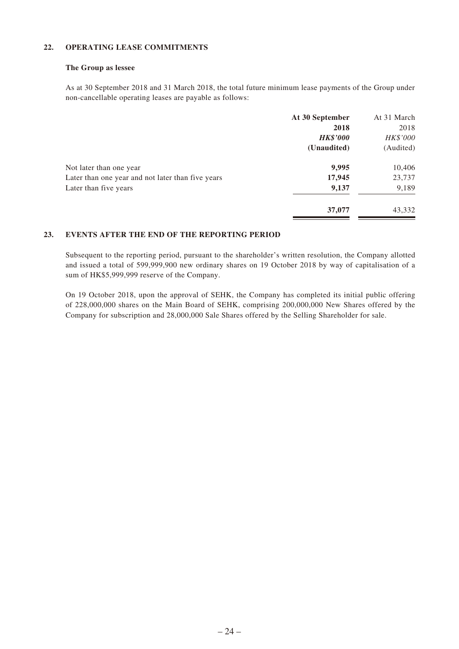### **22. OPERATING LEASE COMMITMENTS**

#### **The Group as lessee**

As at 30 September 2018 and 31 March 2018, the total future minimum lease payments of the Group under non-cancellable operating leases are payable as follows:

|                                                   | At 30 September | At 31 March |
|---------------------------------------------------|-----------------|-------------|
|                                                   | 2018            | 2018        |
|                                                   | <b>HK\$'000</b> | HK\$'000    |
|                                                   | (Unaudited)     | (Audited)   |
| Not later than one year                           | 9,995           | 10,406      |
| Later than one year and not later than five years | 17,945          | 23,737      |
| Later than five years                             | 9,137           | 9,189       |
|                                                   | 37,077          | 43,332      |
|                                                   |                 |             |

### **23. EVENTS AFTER THE END OF THE REPORTING PERIOD**

Subsequent to the reporting period, pursuant to the shareholder's written resolution, the Company allotted and issued a total of 599,999,900 new ordinary shares on 19 October 2018 by way of capitalisation of a sum of HK\$5,999,999 reserve of the Company.

On 19 October 2018, upon the approval of SEHK, the Company has completed its initial public offering of 228,000,000 shares on the Main Board of SEHK, comprising 200,000,000 New Shares offered by the Company for subscription and 28,000,000 Sale Shares offered by the Selling Shareholder for sale.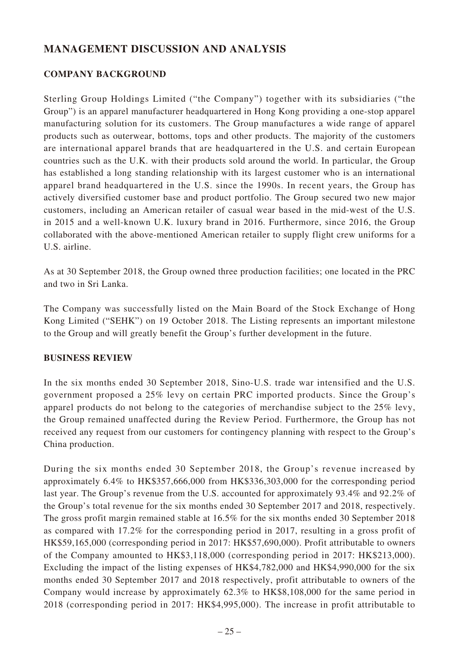## **MANAGEMENT DISCUSSION AND ANALYSIS**

## **COMPANY BACKGROUND**

Sterling Group Holdings Limited ("the Company") together with its subsidiaries ("the Group") is an apparel manufacturer headquartered in Hong Kong providing a one-stop apparel manufacturing solution for its customers. The Group manufactures a wide range of apparel products such as outerwear, bottoms, tops and other products. The majority of the customers are international apparel brands that are headquartered in the U.S. and certain European countries such as the U.K. with their products sold around the world. In particular, the Group has established a long standing relationship with its largest customer who is an international apparel brand headquartered in the U.S. since the 1990s. In recent years, the Group has actively diversified customer base and product portfolio. The Group secured two new major customers, including an American retailer of casual wear based in the mid-west of the U.S. in 2015 and a well-known U.K. luxury brand in 2016. Furthermore, since 2016, the Group collaborated with the above-mentioned American retailer to supply flight crew uniforms for a U.S. airline.

As at 30 September 2018, the Group owned three production facilities; one located in the PRC and two in Sri Lanka.

The Company was successfully listed on the Main Board of the Stock Exchange of Hong Kong Limited ("SEHK") on 19 October 2018. The Listing represents an important milestone to the Group and will greatly benefit the Group's further development in the future.

## **BUSINESS REVIEW**

In the six months ended 30 September 2018, Sino-U.S. trade war intensified and the U.S. government proposed a 25% levy on certain PRC imported products. Since the Group's apparel products do not belong to the categories of merchandise subject to the 25% levy, the Group remained unaffected during the Review Period. Furthermore, the Group has not received any request from our customers for contingency planning with respect to the Group's China production.

During the six months ended 30 September 2018, the Group's revenue increased by approximately 6.4% to HK\$357,666,000 from HK\$336,303,000 for the corresponding period last year. The Group's revenue from the U.S. accounted for approximately 93.4% and 92.2% of the Group's total revenue for the six months ended 30 September 2017 and 2018, respectively. The gross profit margin remained stable at 16.5% for the six months ended 30 September 2018 as compared with 17.2% for the corresponding period in 2017, resulting in a gross profit of HK\$59,165,000 (corresponding period in 2017: HK\$57,690,000). Profit attributable to owners of the Company amounted to HK\$3,118,000 (corresponding period in 2017: HK\$213,000). Excluding the impact of the listing expenses of HK\$4,782,000 and HK\$4,990,000 for the six months ended 30 September 2017 and 2018 respectively, profit attributable to owners of the Company would increase by approximately 62.3% to HK\$8,108,000 for the same period in 2018 (corresponding period in 2017: HK\$4,995,000). The increase in profit attributable to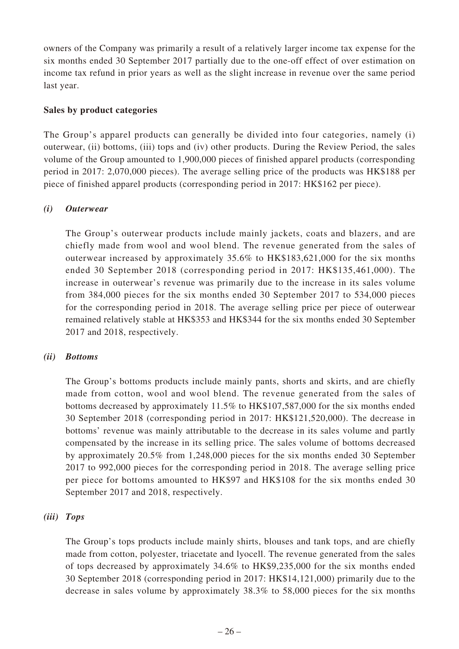owners of the Company was primarily a result of a relatively larger income tax expense for the six months ended 30 September 2017 partially due to the one-off effect of over estimation on income tax refund in prior years as well as the slight increase in revenue over the same period last year.

## **Sales by product categories**

The Group's apparel products can generally be divided into four categories, namely (i) outerwear, (ii) bottoms, (iii) tops and (iv) other products. During the Review Period, the sales volume of the Group amounted to 1,900,000 pieces of finished apparel products (corresponding period in 2017: 2,070,000 pieces). The average selling price of the products was HK\$188 per piece of finished apparel products (corresponding period in 2017: HK\$162 per piece).

## *(i) Outerwear*

The Group's outerwear products include mainly jackets, coats and blazers, and are chiefly made from wool and wool blend. The revenue generated from the sales of outerwear increased by approximately 35.6% to HK\$183,621,000 for the six months ended 30 September 2018 (corresponding period in 2017: HK\$135,461,000). The increase in outerwear's revenue was primarily due to the increase in its sales volume from 384,000 pieces for the six months ended 30 September 2017 to 534,000 pieces for the corresponding period in 2018. The average selling price per piece of outerwear remained relatively stable at HK\$353 and HK\$344 for the six months ended 30 September 2017 and 2018, respectively.

## *(ii) Bottoms*

The Group's bottoms products include mainly pants, shorts and skirts, and are chiefly made from cotton, wool and wool blend. The revenue generated from the sales of bottoms decreased by approximately 11.5% to HK\$107,587,000 for the six months ended 30 September 2018 (corresponding period in 2017: HK\$121,520,000). The decrease in bottoms' revenue was mainly attributable to the decrease in its sales volume and partly compensated by the increase in its selling price. The sales volume of bottoms decreased by approximately 20.5% from 1,248,000 pieces for the six months ended 30 September 2017 to 992,000 pieces for the corresponding period in 2018. The average selling price per piece for bottoms amounted to HK\$97 and HK\$108 for the six months ended 30 September 2017 and 2018, respectively.

## *(iii) Tops*

The Group's tops products include mainly shirts, blouses and tank tops, and are chiefly made from cotton, polyester, triacetate and lyocell. The revenue generated from the sales of tops decreased by approximately 34.6% to HK\$9,235,000 for the six months ended 30 September 2018 (corresponding period in 2017: HK\$14,121,000) primarily due to the decrease in sales volume by approximately 38.3% to 58,000 pieces for the six months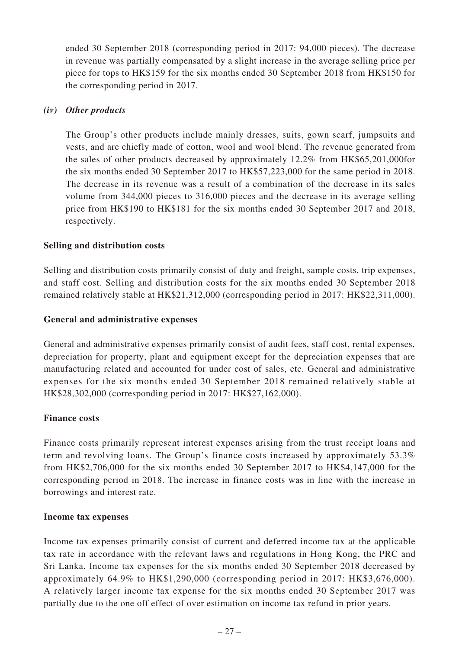ended 30 September 2018 (corresponding period in 2017: 94,000 pieces). The decrease in revenue was partially compensated by a slight increase in the average selling price per piece for tops to HK\$159 for the six months ended 30 September 2018 from HK\$150 for the corresponding period in 2017.

## *(iv) Other products*

The Group's other products include mainly dresses, suits, gown scarf, jumpsuits and vests, and are chiefly made of cotton, wool and wool blend. The revenue generated from the sales of other products decreased by approximately 12.2% from HK\$65,201,000for the six months ended 30 September 2017 to HK\$57,223,000 for the same period in 2018. The decrease in its revenue was a result of a combination of the decrease in its sales volume from 344,000 pieces to 316,000 pieces and the decrease in its average selling price from HK\$190 to HK\$181 for the six months ended 30 September 2017 and 2018, respectively.

## **Selling and distribution costs**

Selling and distribution costs primarily consist of duty and freight, sample costs, trip expenses, and staff cost. Selling and distribution costs for the six months ended 30 September 2018 remained relatively stable at HK\$21,312,000 (corresponding period in 2017: HK\$22,311,000).

## **General and administrative expenses**

General and administrative expenses primarily consist of audit fees, staff cost, rental expenses, depreciation for property, plant and equipment except for the depreciation expenses that are manufacturing related and accounted for under cost of sales, etc. General and administrative expenses for the six months ended 30 September 2018 remained relatively stable at HK\$28,302,000 (corresponding period in 2017: HK\$27,162,000).

## **Finance costs**

Finance costs primarily represent interest expenses arising from the trust receipt loans and term and revolving loans. The Group's finance costs increased by approximately 53.3% from HK\$2,706,000 for the six months ended 30 September 2017 to HK\$4,147,000 for the corresponding period in 2018. The increase in finance costs was in line with the increase in borrowings and interest rate.

## **Income tax expenses**

Income tax expenses primarily consist of current and deferred income tax at the applicable tax rate in accordance with the relevant laws and regulations in Hong Kong, the PRC and Sri Lanka. Income tax expenses for the six months ended 30 September 2018 decreased by approximately 64.9% to HK\$1,290,000 (corresponding period in 2017: HK\$3,676,000). A relatively larger income tax expense for the six months ended 30 September 2017 was partially due to the one off effect of over estimation on income tax refund in prior years.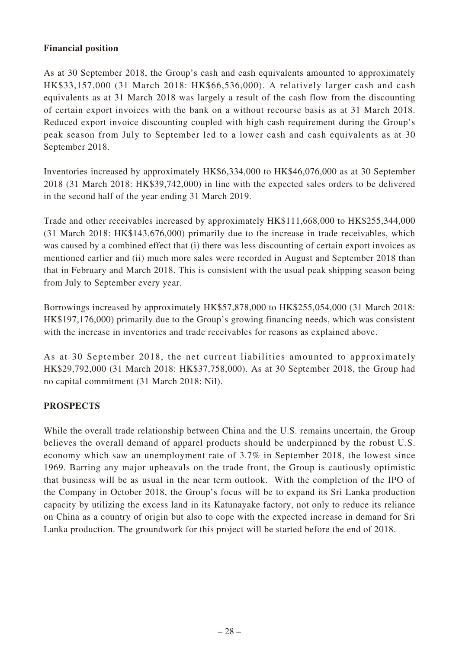## **Financial position**

As at 30 September 2018, the Group's cash and cash equivalents amounted to approximately HK\$33,157,000 (31 March 2018: HK\$66,536,000). A relatively larger cash and cash equivalents as at 31 March 2018 was largely a result of the cash flow from the discounting of certain export invoices with the bank on a without recourse basis as at 31 March 2018. Reduced export invoice discounting coupled with high cash requirement during the Group's peak season from July to September led to a lower cash and cash equivalents as at 30 September 2018.

Inventories increased by approximately HK\$6,334,000 to HK\$46,076,000 as at 30 September 2018 (31 March 2018: HK\$39,742,000) in line with the expected sales orders to be delivered in the second half of the year ending 31 March 2019.

Trade and other receivables increased by approximately HK\$111,668,000 to HK\$255,344,000 (31 March 2018: HK\$143,676,000) primarily due to the increase in trade receivables, which was caused by a combined effect that (i) there was less discounting of certain export invoices as mentioned earlier and (ii) much more sales were recorded in August and September 2018 than that in February and March 2018. This is consistent with the usual peak shipping season being from July to September every year.

Borrowings increased by approximately HK\$57,878,000 to HK\$255,054,000 (31 March 2018: HK\$197,176,000) primarily due to the Group's growing financing needs, which was consistent with the increase in inventories and trade receivables for reasons as explained above.

As at 30 September 2018, the net current liabilities amounted to approximately HK\$29,792,000 (31 March 2018: HK\$37,758,000). As at 30 September 2018, the Group had no capital commitment (31 March 2018: Nil).

## **PROSPECTS**

While the overall trade relationship between China and the U.S. remains uncertain, the Group believes the overall demand of apparel products should be underpinned by the robust U.S. economy which saw an unemployment rate of 3.7% in September 2018, the lowest since 1969. Barring any major upheavals on the trade front, the Group is cautiously optimistic that business will be as usual in the near term outlook. With the completion of the IPO of the Company in October 2018, the Group's focus will be to expand its Sri Lanka production capacity by utilizing the excess land in its Katunayake factory, not only to reduce its reliance on China as a country of origin but also to cope with the expected increase in demand for Sri Lanka production. The groundwork for this project will be started before the end of 2018.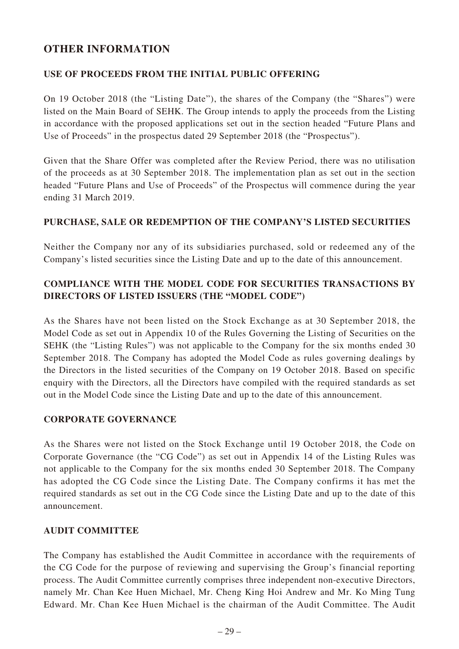## **OTHER INFORMATION**

## **USE OF PROCEEDS FROM THE INITIAL PUBLIC OFFERING**

On 19 October 2018 (the "Listing Date"), the shares of the Company (the "Shares") were listed on the Main Board of SEHK. The Group intends to apply the proceeds from the Listing in accordance with the proposed applications set out in the section headed "Future Plans and Use of Proceeds" in the prospectus dated 29 September 2018 (the "Prospectus").

Given that the Share Offer was completed after the Review Period, there was no utilisation of the proceeds as at 30 September 2018. The implementation plan as set out in the section headed "Future Plans and Use of Proceeds" of the Prospectus will commence during the year ending 31 March 2019.

## **PURCHASE, SALE OR REDEMPTION OF THE COMPANY'S LISTED SECURITIES**

Neither the Company nor any of its subsidiaries purchased, sold or redeemed any of the Company's listed securities since the Listing Date and up to the date of this announcement.

## **COMPLIANCE WITH THE MODEL CODE FOR SECURITIES TRANSACTIONS BY DIRECTORS OF LISTED ISSUERS (THE "MODEL CODE")**

As the Shares have not been listed on the Stock Exchange as at 30 September 2018, the Model Code as set out in Appendix 10 of the Rules Governing the Listing of Securities on the SEHK (the "Listing Rules") was not applicable to the Company for the six months ended 30 September 2018. The Company has adopted the Model Code as rules governing dealings by the Directors in the listed securities of the Company on 19 October 2018. Based on specific enquiry with the Directors, all the Directors have compiled with the required standards as set out in the Model Code since the Listing Date and up to the date of this announcement.

## **CORPORATE GOVERNANCE**

As the Shares were not listed on the Stock Exchange until 19 October 2018, the Code on Corporate Governance (the "CG Code") as set out in Appendix 14 of the Listing Rules was not applicable to the Company for the six months ended 30 September 2018. The Company has adopted the CG Code since the Listing Date. The Company confirms it has met the required standards as set out in the CG Code since the Listing Date and up to the date of this announcement.

## **AUDIT COMMITTEE**

The Company has established the Audit Committee in accordance with the requirements of the CG Code for the purpose of reviewing and supervising the Group's financial reporting process. The Audit Committee currently comprises three independent non-executive Directors, namely Mr. Chan Kee Huen Michael, Mr. Cheng King Hoi Andrew and Mr. Ko Ming Tung Edward. Mr. Chan Kee Huen Michael is the chairman of the Audit Committee. The Audit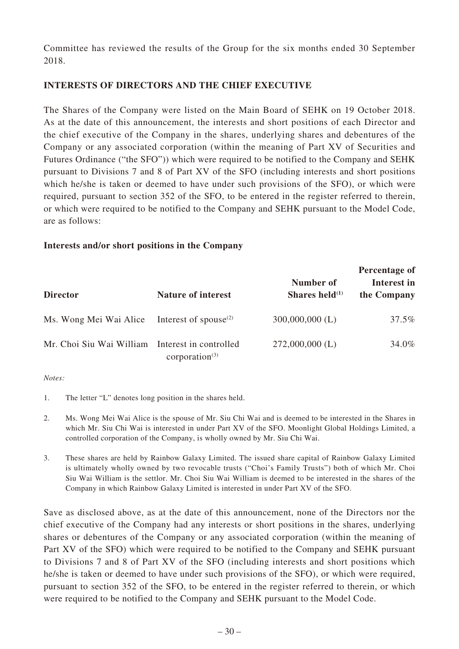Committee has reviewed the results of the Group for the six months ended 30 September 2018.

## **INTERESTS OF DIRECTORS AND THE CHIEF EXECUTIVE**

The Shares of the Company were listed on the Main Board of SEHK on 19 October 2018. As at the date of this announcement, the interests and short positions of each Director and the chief executive of the Company in the shares, underlying shares and debentures of the Company or any associated corporation (within the meaning of Part XV of Securities and Futures Ordinance ("the SFO")) which were required to be notified to the Company and SEHK pursuant to Divisions 7 and 8 of Part XV of the SFO (including interests and short positions which he/she is taken or deemed to have under such provisions of the SFO), or which were required, pursuant to section 352 of the SFO, to be entered in the register referred to therein, or which were required to be notified to the Company and SEHK pursuant to the Model Code, are as follows:

## **Interests and/or short positions in the Company**

|                                                 |                                                |                                | Percentage of              |  |
|-------------------------------------------------|------------------------------------------------|--------------------------------|----------------------------|--|
| <b>Director</b>                                 | <b>Nature of interest</b>                      | Number of<br>Shares held $(1)$ | Interest in<br>the Company |  |
| Ms. Wong Mei Wai Alice                          | Interest of spouse <sup><math>(2)</math></sup> | $300,000,000$ (L)              | 37.5%                      |  |
| Mr. Choi Siu Wai William Interest in controlled | corporation $(3)$                              | $272,000,000$ (L)              | 34.0%                      |  |

*Notes:*

- 1. The letter "L" denotes long position in the shares held.
- 2. Ms. Wong Mei Wai Alice is the spouse of Mr. Siu Chi Wai and is deemed to be interested in the Shares in which Mr. Siu Chi Wai is interested in under Part XV of the SFO. Moonlight Global Holdings Limited, a controlled corporation of the Company, is wholly owned by Mr. Siu Chi Wai.
- 3. These shares are held by Rainbow Galaxy Limited. The issued share capital of Rainbow Galaxy Limited is ultimately wholly owned by two revocable trusts ("Choi's Family Trusts") both of which Mr. Choi Siu Wai William is the settlor. Mr. Choi Siu Wai William is deemed to be interested in the shares of the Company in which Rainbow Galaxy Limited is interested in under Part XV of the SFO.

Save as disclosed above, as at the date of this announcement, none of the Directors nor the chief executive of the Company had any interests or short positions in the shares, underlying shares or debentures of the Company or any associated corporation (within the meaning of Part XV of the SFO) which were required to be notified to the Company and SEHK pursuant to Divisions 7 and 8 of Part XV of the SFO (including interests and short positions which he/she is taken or deemed to have under such provisions of the SFO), or which were required, pursuant to section 352 of the SFO, to be entered in the register referred to therein, or which were required to be notified to the Company and SEHK pursuant to the Model Code.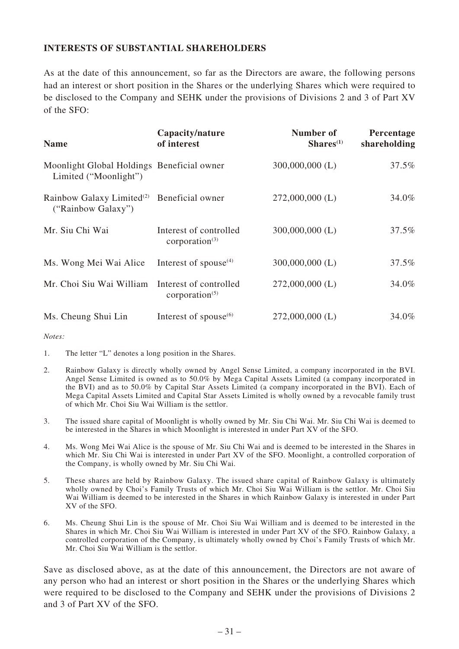## **INTERESTS OF SUBSTANTIAL SHAREHOLDERS**

As at the date of this announcement, so far as the Directors are aware, the following persons had an interest or short position in the Shares or the underlying Shares which were required to be disclosed to the Company and SEHK under the provisions of Divisions 2 and 3 of Part XV of the SFO:

| <b>Name</b>                                                         | Capacity/nature<br>of interest              | Number of<br>Shares <sup>(1)</sup> | Percentage<br>shareholding |
|---------------------------------------------------------------------|---------------------------------------------|------------------------------------|----------------------------|
| Moonlight Global Holdings Beneficial owner<br>Limited ("Moonlight") |                                             | $300,000,000$ (L)                  | 37.5%                      |
| Rainbow Galaxy Limited <sup>(2)</sup><br>("Rainbow Galaxy")         | Beneficial owner                            | $272,000,000$ (L)                  | 34.0%                      |
| Mr. Siu Chi Wai                                                     | Interest of controlled<br>corporation $(3)$ | $300,000,000$ (L)                  | 37.5%                      |
| Ms. Wong Mei Wai Alice                                              | Interest of spouse $(4)$                    | $300,000,000$ (L)                  | 37.5%                      |
| Mr. Choi Siu Wai William                                            | Interest of controlled<br>corporation $(5)$ | $272,000,000$ (L)                  | 34.0%                      |
| Ms. Cheung Shui Lin                                                 | Interest of spouse $(6)$                    | $272,000,000$ (L)                  | 34.0%                      |

*Notes:*

1. The letter "L" denotes a long position in the Shares.

- 2. Rainbow Galaxy is directly wholly owned by Angel Sense Limited, a company incorporated in the BVI. Angel Sense Limited is owned as to 50.0% by Mega Capital Assets Limited (a company incorporated in the BVI) and as to 50.0% by Capital Star Assets Limited (a company incorporated in the BVI). Each of Mega Capital Assets Limited and Capital Star Assets Limited is wholly owned by a revocable family trust of which Mr. Choi Siu Wai William is the settlor.
- 3. The issued share capital of Moonlight is wholly owned by Mr. Siu Chi Wai. Mr. Siu Chi Wai is deemed to be interested in the Shares in which Moonlight is interested in under Part XV of the SFO.
- 4. Ms. Wong Mei Wai Alice is the spouse of Mr. Siu Chi Wai and is deemed to be interested in the Shares in which Mr. Siu Chi Wai is interested in under Part XV of the SFO. Moonlight, a controlled corporation of the Company, is wholly owned by Mr. Siu Chi Wai.
- 5. These shares are held by Rainbow Galaxy. The issued share capital of Rainbow Galaxy is ultimately wholly owned by Choi's Family Trusts of which Mr. Choi Siu Wai William is the settlor. Mr. Choi Siu Wai William is deemed to be interested in the Shares in which Rainbow Galaxy is interested in under Part XV of the SFO.
- 6. Ms. Cheung Shui Lin is the spouse of Mr. Choi Siu Wai William and is deemed to be interested in the Shares in which Mr. Choi Siu Wai William is interested in under Part XV of the SFO. Rainbow Galaxy, a controlled corporation of the Company, is ultimately wholly owned by Choi's Family Trusts of which Mr. Mr. Choi Siu Wai William is the settlor.

Save as disclosed above, as at the date of this announcement, the Directors are not aware of any person who had an interest or short position in the Shares or the underlying Shares which were required to be disclosed to the Company and SEHK under the provisions of Divisions 2 and 3 of Part XV of the SFO.